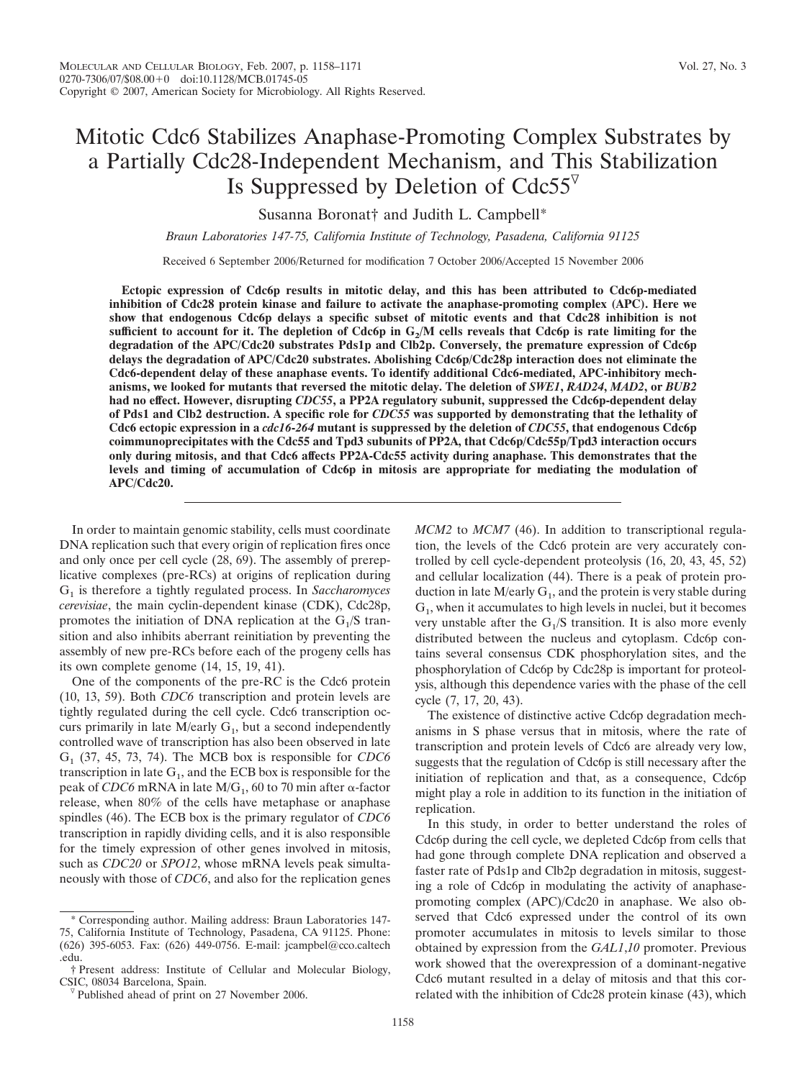# Mitotic Cdc6 Stabilizes Anaphase-Promoting Complex Substrates by a Partially Cdc28-Independent Mechanism, and This Stabilization Is Suppressed by Deletion of  $Cdc55^{\nabla}$

Susanna Boronat† and Judith L. Campbell\*

*Braun Laboratories 147-75, California Institute of Technology, Pasadena, California 91125*

Received 6 September 2006/Returned for modification 7 October 2006/Accepted 15 November 2006

**Ectopic expression of Cdc6p results in mitotic delay, and this has been attributed to Cdc6p-mediated inhibition of Cdc28 protein kinase and failure to activate the anaphase-promoting complex (APC). Here we show that endogenous Cdc6p delays a specific subset of mitotic events and that Cdc28 inhibition is not** sufficient to account for it. The depletion of  $Cdc6p$  in  $G<sub>2</sub>/M$  cells reveals that  $Cdc6p$  is rate limiting for the **degradation of the APC/Cdc20 substrates Pds1p and Clb2p. Conversely, the premature expression of Cdc6p delays the degradation of APC/Cdc20 substrates. Abolishing Cdc6p/Cdc28p interaction does not eliminate the Cdc6-dependent delay of these anaphase events. To identify additional Cdc6-mediated, APC-inhibitory mechanisms, we looked for mutants that reversed the mitotic delay. The deletion of** *SWE1***,** *RAD24***,** *MAD2***, or** *BUB2* **had no effect. However, disrupting** *CDC55***, a PP2A regulatory subunit, suppressed the Cdc6p-dependent delay of Pds1 and Clb2 destruction. A specific role for** *CDC55* **was supported by demonstrating that the lethality of Cdc6 ectopic expression in a** *cdc16***-***264* **mutant is suppressed by the deletion of** *CDC55***, that endogenous Cdc6p coimmunoprecipitates with the Cdc55 and Tpd3 subunits of PP2A, that Cdc6p/Cdc55p/Tpd3 interaction occurs only during mitosis, and that Cdc6 affects PP2A-Cdc55 activity during anaphase. This demonstrates that the levels and timing of accumulation of Cdc6p in mitosis are appropriate for mediating the modulation of APC/Cdc20.**

In order to maintain genomic stability, cells must coordinate DNA replication such that every origin of replication fires once and only once per cell cycle (28, 69). The assembly of prereplicative complexes (pre-RCs) at origins of replication during G1 is therefore a tightly regulated process. In *Saccharomyces cerevisiae*, the main cyclin-dependent kinase (CDK), Cdc28p, promotes the initiation of DNA replication at the  $G_1/S$  transition and also inhibits aberrant reinitiation by preventing the assembly of new pre-RCs before each of the progeny cells has its own complete genome (14, 15, 19, 41).

One of the components of the pre-RC is the Cdc6 protein (10, 13, 59). Both *CDC6* transcription and protein levels are tightly regulated during the cell cycle. Cdc6 transcription occurs primarily in late  $M/early G<sub>1</sub>$ , but a second independently controlled wave of transcription has also been observed in late G1 (37, 45, 73, 74). The MCB box is responsible for *CDC6* transcription in late  $G_1$ , and the ECB box is responsible for the peak of *CDC6* mRNA in late  $M/G_1$ , 60 to 70 min after  $\alpha$ -factor release, when 80% of the cells have metaphase or anaphase spindles (46). The ECB box is the primary regulator of *CDC6* transcription in rapidly dividing cells, and it is also responsible for the timely expression of other genes involved in mitosis, such as *CDC20* or *SPO12*, whose mRNA levels peak simultaneously with those of *CDC6*, and also for the replication genes *MCM2* to *MCM7* (46). In addition to transcriptional regulation, the levels of the Cdc6 protein are very accurately controlled by cell cycle-dependent proteolysis (16, 20, 43, 45, 52) and cellular localization (44). There is a peak of protein production in late M/early  $G_1$ , and the protein is very stable during  $G<sub>1</sub>$ , when it accumulates to high levels in nuclei, but it becomes very unstable after the  $G_1/S$  transition. It is also more evenly distributed between the nucleus and cytoplasm. Cdc6p contains several consensus CDK phosphorylation sites, and the phosphorylation of Cdc6p by Cdc28p is important for proteolysis, although this dependence varies with the phase of the cell cycle (7, 17, 20, 43).

The existence of distinctive active Cdc6p degradation mechanisms in S phase versus that in mitosis, where the rate of transcription and protein levels of Cdc6 are already very low, suggests that the regulation of Cdc6p is still necessary after the initiation of replication and that, as a consequence, Cdc6p might play a role in addition to its function in the initiation of replication.

In this study, in order to better understand the roles of Cdc6p during the cell cycle, we depleted Cdc6p from cells that had gone through complete DNA replication and observed a faster rate of Pds1p and Clb2p degradation in mitosis, suggesting a role of Cdc6p in modulating the activity of anaphasepromoting complex (APC)/Cdc20 in anaphase. We also observed that Cdc6 expressed under the control of its own promoter accumulates in mitosis to levels similar to those obtained by expression from the *GAL1*,*10* promoter. Previous work showed that the overexpression of a dominant-negative Cdc6 mutant resulted in a delay of mitosis and that this correlated with the inhibition of Cdc28 protein kinase (43), which

Corresponding author. Mailing address: Braun Laboratories 147-75, California Institute of Technology, Pasadena, CA 91125. Phone: (626) 395-6053. Fax: (626) 449-0756. E-mail: jcampbel@cco.caltech .edu.

<sup>†</sup> Present address: Institute of Cellular and Molecular Biology,

 $\nabla$  Published ahead of print on 27 November 2006.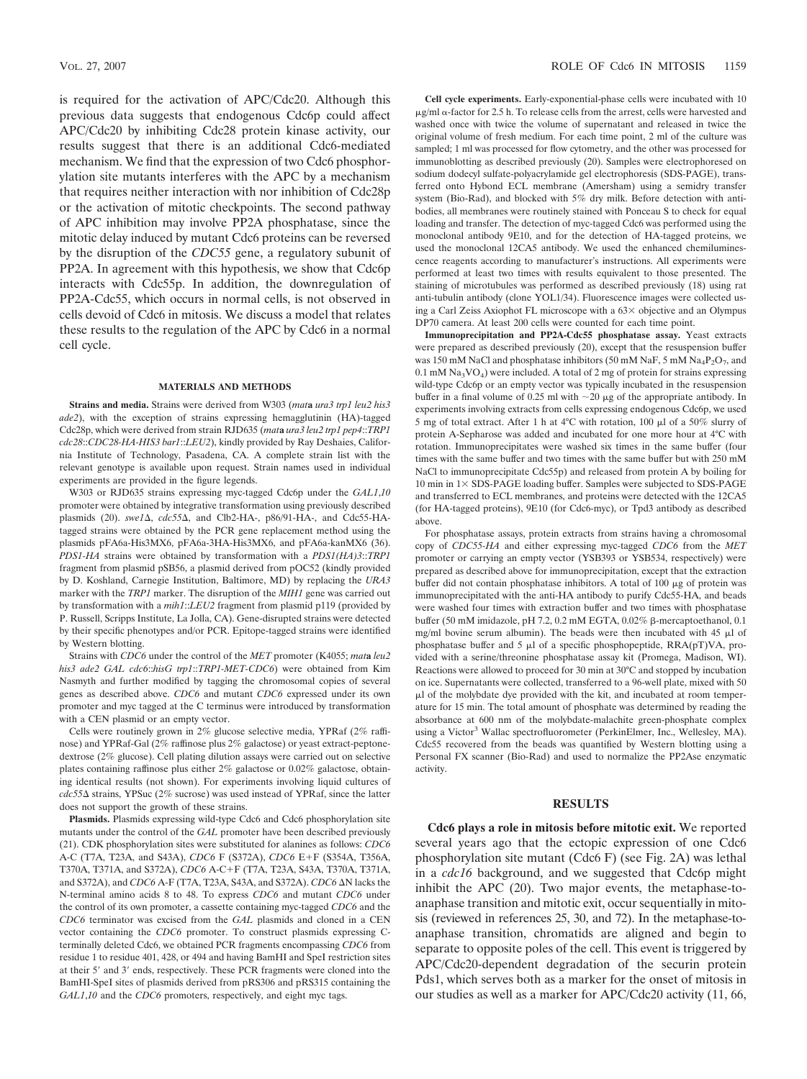is required for the activation of APC/Cdc20. Although this previous data suggests that endogenous Cdc6p could affect APC/Cdc20 by inhibiting Cdc28 protein kinase activity, our results suggest that there is an additional Cdc6-mediated mechanism. We find that the expression of two Cdc6 phosphorylation site mutants interferes with the APC by a mechanism that requires neither interaction with nor inhibition of Cdc28p or the activation of mitotic checkpoints. The second pathway of APC inhibition may involve PP2A phosphatase, since the mitotic delay induced by mutant Cdc6 proteins can be reversed by the disruption of the *CDC55* gene, a regulatory subunit of PP2A. In agreement with this hypothesis, we show that Cdc6p interacts with Cdc55p. In addition, the downregulation of PP2A-Cdc55, which occurs in normal cells, is not observed in cells devoid of Cdc6 in mitosis. We discuss a model that relates these results to the regulation of the APC by Cdc6 in a normal cell cycle.

### **MATERIALS AND METHODS**

**Strains and media.** Strains were derived from W303 (*mat***a** *ura3 trp1 leu2 his3 ade2*), with the exception of strains expressing hemagglutinin (HA)-tagged Cdc28p, which were derived from strain RJD635 (*mat***a** *ura3 leu2 trp1 pep4*::*TRP1 cdc28*::*CDC28-HA-HIS3 bar1*::*LEU2*), kindly provided by Ray Deshaies, California Institute of Technology, Pasadena, CA. A complete strain list with the relevant genotype is available upon request. Strain names used in individual experiments are provided in the figure legends.

W303 or RJD635 strains expressing myc-tagged Cdc6p under the *GAL1*,*10* promoter were obtained by integrative transformation using previously described plasmids (20). *swe1* $\Delta$ , *cdc55* $\Delta$ , and Clb2-HA-, p86/91-HA-, and Cdc55-HAtagged strains were obtained by the PCR gene replacement method using the plasmids pFA6a-His3MX6, pFA6a-3HA-His3MX6, and pFA6a-kanMX6 (36). *PDS1-HA* strains were obtained by transformation with a *PDS1(HA)3*::*TRP1* fragment from plasmid pSB56, a plasmid derived from pOC52 (kindly provided by D. Koshland, Carnegie Institution, Baltimore, MD) by replacing the *URA3* marker with the *TRP1* marker. The disruption of the *MIH1* gene was carried out by transformation with a *mih1*::*LEU2* fragment from plasmid p119 (provided by P. Russell, Scripps Institute, La Jolla, CA). Gene-disrupted strains were detected by their specific phenotypes and/or PCR. Epitope-tagged strains were identified by Western blotting.

Strains with *CDC6* under the control of the *MET* promoter (K4055; *mat***a** *leu2 his3 ade2 GAL cdc6*::*hisG trp1*::*TRP1-MET-CDC6*) were obtained from Kim Nasmyth and further modified by tagging the chromosomal copies of several genes as described above. *CDC6* and mutant *CDC6* expressed under its own promoter and myc tagged at the C terminus were introduced by transformation with a CEN plasmid or an empty vector.

Cells were routinely grown in 2% glucose selective media, YPRaf (2% raffinose) and YPRaf-Gal (2% raffinose plus 2% galactose) or yeast extract-peptonedextrose (2% glucose). Cell plating dilution assays were carried out on selective plates containing raffinose plus either 2% galactose or 0.02% galactose, obtaining identical results (not shown). For experiments involving liquid cultures of *cdc55* strains, YPSuc (2% sucrose) was used instead of YPRaf, since the latter does not support the growth of these strains.

**Plasmids.** Plasmids expressing wild-type Cdc6 and Cdc6 phosphorylation site mutants under the control of the *GAL* promoter have been described previously (21). CDK phosphorylation sites were substituted for alanines as follows: *CDC6* A-C (T7A, T23A, and S43A), *CDC6* F (S372A), *CDC6* E+F (S354A, T356A, T370A, T371A, and S372A), *CDC6* A-C+F (T7A, T23A, S43A, T370A, T371A, and S372A), and *CDC6* A-F (T7A, T23A, S43A, and S372A). *CDC6* AN lacks the N-terminal amino acids 8 to 48. To express *CDC6* and mutant *CDC6* under the control of its own promoter, a cassette containing myc-tagged *CDC6* and the *CDC6* terminator was excised from the *GAL* plasmids and cloned in a CEN vector containing the *CDC6* promoter. To construct plasmids expressing Cterminally deleted Cdc6, we obtained PCR fragments encompassing *CDC6* from residue 1 to residue 401, 428, or 494 and having BamHI and SpeI restriction sites at their 5' and 3' ends, respectively. These PCR fragments were cloned into the BamHI-SpeI sites of plasmids derived from pRS306 and pRS315 containing the *GAL1*,*10* and the *CDC6* promoters, respectively, and eight myc tags.

**Cell cycle experiments.** Early-exponential-phase cells were incubated with 10  $\mu$ g/ml  $\alpha$ -factor for 2.5 h. To release cells from the arrest, cells were harvested and washed once with twice the volume of supernatant and released in twice the original volume of fresh medium. For each time point, 2 ml of the culture was sampled; 1 ml was processed for flow cytometry, and the other was processed for immunoblotting as described previously (20). Samples were electrophoresed on sodium dodecyl sulfate-polyacrylamide gel electrophoresis (SDS-PAGE), transferred onto Hybond ECL membrane (Amersham) using a semidry transfer system (Bio-Rad), and blocked with 5% dry milk. Before detection with antibodies, all membranes were routinely stained with Ponceau S to check for equal loading and transfer. The detection of myc-tagged Cdc6 was performed using the monoclonal antibody 9E10, and for the detection of HA-tagged proteins, we used the monoclonal 12CA5 antibody. We used the enhanced chemiluminescence reagents according to manufacturer's instructions. All experiments were performed at least two times with results equivalent to those presented. The staining of microtubules was performed as described previously (18) using rat anti-tubulin antibody (clone YOL1/34). Fluorescence images were collected using a Carl Zeiss Axiophot FL microscope with a  $63\times$  objective and an Olympus DP70 camera. At least 200 cells were counted for each time point.

**Immunoprecipitation and PP2A-Cdc55 phosphatase assay.** Yeast extracts were prepared as described previously (20), except that the resuspension buffer was 150 mM NaCl and phosphatase inhibitors (50 mM NaF, 5 mM  $\text{Na}_4\text{P}_2\text{O}_7$ , and  $0.1$  mM Na<sub>3</sub>VO<sub>4</sub>) were included. A total of 2 mg of protein for strains expressing wild-type Cdc6p or an empty vector was typically incubated in the resuspension buffer in a final volume of 0.25 ml with  $\sim$ 20 µg of the appropriate antibody. In experiments involving extracts from cells expressing endogenous Cdc6p, we used 5 mg of total extract. After 1 h at 4°C with rotation, 100  $\mu$ l of a 50% slurry of protein A-Sepharose was added and incubated for one more hour at 4°C with rotation. Immunoprecipitates were washed six times in the same buffer (four times with the same buffer and two times with the same buffer but with 250 mM NaCl to immunoprecipitate Cdc55p) and released from protein A by boiling for 10 min in  $1 \times$  SDS-PAGE loading buffer. Samples were subjected to SDS-PAGE and transferred to ECL membranes, and proteins were detected with the 12CA5 (for HA-tagged proteins), 9E10 (for Cdc6-myc), or Tpd3 antibody as described above.

For phosphatase assays, protein extracts from strains having a chromosomal copy of *CDC55-HA* and either expressing myc-tagged *CDC6* from the *MET* promoter or carrying an empty vector (YSB393 or YSB534, respectively) were prepared as described above for immunoprecipitation, except that the extraction buffer did not contain phosphatase inhibitors. A total of  $100 \mu$ g of protein was immunoprecipitated with the anti-HA antibody to purify Cdc55-HA, and beads were washed four times with extraction buffer and two times with phosphatase buffer (50 mM imidazole, pH 7.2, 0.2 mM EGTA, 0.02%  $\beta$ -mercaptoethanol, 0.1 mg/ml bovine serum albumin). The beads were then incubated with 45  $\mu$ l of phosphatase buffer and 5  $\mu$ l of a specific phosphopeptide, RRA(pT)VA, provided with a serine/threonine phosphatase assay kit (Promega, Madison, WI). Reactions were allowed to proceed for 30 min at 30°C and stopped by incubation on ice. Supernatants were collected, transferred to a 96-well plate, mixed with 50 l of the molybdate dye provided with the kit, and incubated at room temperature for 15 min. The total amount of phosphate was determined by reading the absorbance at 600 nm of the molybdate-malachite green-phosphate complex using a Victor<sup>3</sup> Wallac spectrofluorometer (PerkinElmer, Inc., Wellesley, MA). Cdc55 recovered from the beads was quantified by Western blotting using a Personal FX scanner (Bio-Rad) and used to normalize the PP2Ase enzymatic activity.

## **RESULTS**

**Cdc6 plays a role in mitosis before mitotic exit.** We reported several years ago that the ectopic expression of one Cdc6 phosphorylation site mutant (Cdc6 F) (see Fig. 2A) was lethal in a *cdc16* background, and we suggested that Cdc6p might inhibit the APC (20). Two major events, the metaphase-toanaphase transition and mitotic exit, occur sequentially in mitosis (reviewed in references 25, 30, and 72). In the metaphase-toanaphase transition, chromatids are aligned and begin to separate to opposite poles of the cell. This event is triggered by APC/Cdc20-dependent degradation of the securin protein Pds1, which serves both as a marker for the onset of mitosis in our studies as well as a marker for APC/Cdc20 activity (11, 66,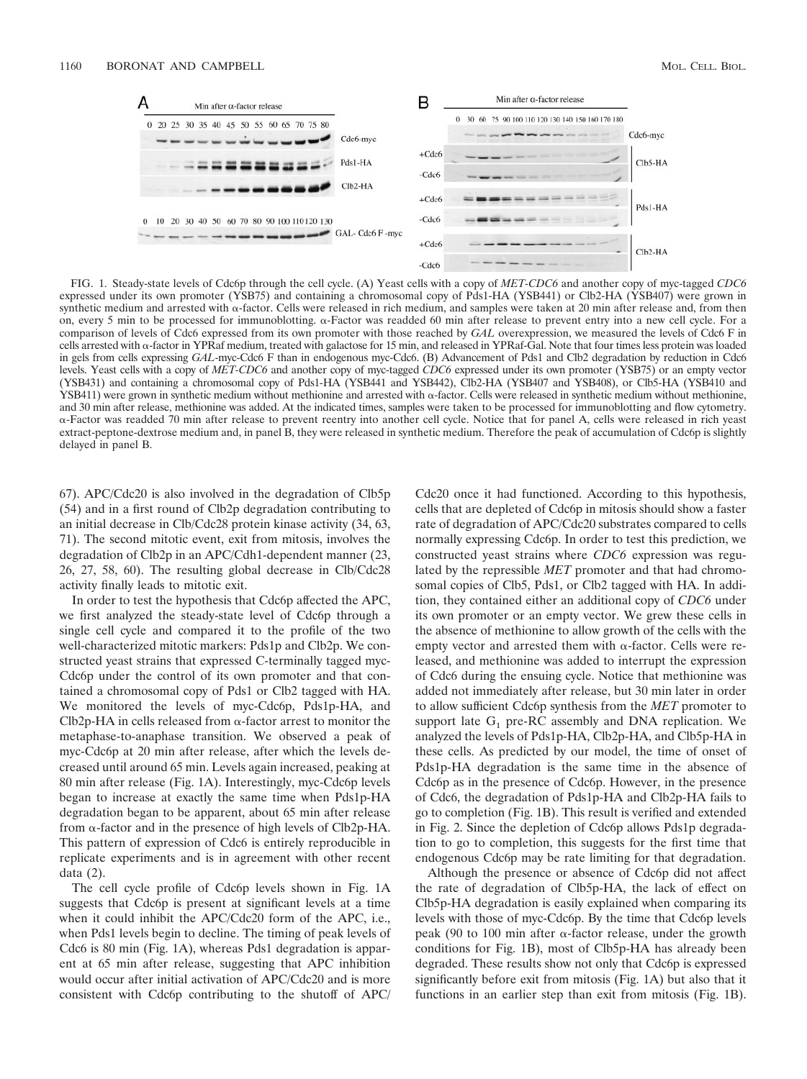

FIG. 1. Steady-state levels of Cdc6p through the cell cycle. (A) Yeast cells with a copy of *MET-CDC6* and another copy of myc-tagged *CDC6* expressed under its own promoter (YSB75) and containing a chromosomal copy of Pds1-HA (YSB441) or Clb2-HA (YSB407) were grown in synthetic medium and arrested with  $\alpha$ -factor. Cells were released in rich medium, and samples were taken at 20 min after release and, from then on, every 5 min to be processed for immunoblotting. α-Factor was readded 60 min after release to prevent entry into a new cell cycle. For a comparison of levels of Cdc6 expressed from its own promoter with those reached by *GAL* overexpression, we measured the levels of Cdc6 F in cells arrested with  $\alpha$ -factor in YPRaf medium, treated with galactose for 15 min, and released in YPRaf-Gal. Note that four times less protein was loaded in gels from cells expressing *GAL*-myc-Cdc6 F than in endogenous myc-Cdc6. (B) Advancement of Pds1 and Clb2 degradation by reduction in Cdc6 levels. Yeast cells with a copy of *MET-CDC6* and another copy of myc-tagged *CDC6* expressed under its own promoter (YSB75) or an empty vector (YSB431) and containing a chromosomal copy of Pds1-HA (YSB441 and YSB442), Clb2-HA (YSB407 and YSB408), or Clb5-HA (YSB410 and YSB411) were grown in synthetic medium without methionine and arrested with  $\alpha$ -factor. Cells were released in synthetic medium without methionine, and 30 min after release, methionine was added. At the indicated times, samples were taken to be processed for immunoblotting and flow cytometry. --Factor was readded 70 min after release to prevent reentry into another cell cycle. Notice that for panel A, cells were released in rich yeast extract-peptone-dextrose medium and, in panel B, they were released in synthetic medium. Therefore the peak of accumulation of Cdc6p is slightly delayed in panel B.

67). APC/Cdc20 is also involved in the degradation of Clb5p (54) and in a first round of Clb2p degradation contributing to an initial decrease in Clb/Cdc28 protein kinase activity (34, 63, 71). The second mitotic event, exit from mitosis, involves the degradation of Clb2p in an APC/Cdh1-dependent manner (23, 26, 27, 58, 60). The resulting global decrease in Clb/Cdc28 activity finally leads to mitotic exit.

In order to test the hypothesis that Cdc6p affected the APC, we first analyzed the steady-state level of Cdc6p through a single cell cycle and compared it to the profile of the two well-characterized mitotic markers: Pds1p and Clb2p. We constructed yeast strains that expressed C-terminally tagged myc-Cdc6p under the control of its own promoter and that contained a chromosomal copy of Pds1 or Clb2 tagged with HA. We monitored the levels of myc-Cdc6p, Pds1p-HA, and  $Clb2p-HA$  in cells released from  $\alpha$ -factor arrest to monitor the metaphase-to-anaphase transition. We observed a peak of myc-Cdc6p at 20 min after release, after which the levels decreased until around 65 min. Levels again increased, peaking at 80 min after release (Fig. 1A). Interestingly, myc-Cdc6p levels began to increase at exactly the same time when Pds1p-HA degradation began to be apparent, about 65 min after release from  $\alpha$ -factor and in the presence of high levels of Clb2p-HA. This pattern of expression of Cdc6 is entirely reproducible in replicate experiments and is in agreement with other recent data (2).

The cell cycle profile of Cdc6p levels shown in Fig. 1A suggests that Cdc6p is present at significant levels at a time when it could inhibit the APC/Cdc20 form of the APC, i.e., when Pds1 levels begin to decline. The timing of peak levels of Cdc6 is 80 min (Fig. 1A), whereas Pds1 degradation is apparent at 65 min after release, suggesting that APC inhibition would occur after initial activation of APC/Cdc20 and is more consistent with Cdc6p contributing to the shutoff of APC/ Cdc20 once it had functioned. According to this hypothesis, cells that are depleted of Cdc6p in mitosis should show a faster rate of degradation of APC/Cdc20 substrates compared to cells normally expressing Cdc6p. In order to test this prediction, we constructed yeast strains where *CDC6* expression was regulated by the repressible *MET* promoter and that had chromosomal copies of Clb5, Pds1, or Clb2 tagged with HA. In addition, they contained either an additional copy of *CDC6* under its own promoter or an empty vector. We grew these cells in the absence of methionine to allow growth of the cells with the empty vector and arrested them with  $\alpha$ -factor. Cells were released, and methionine was added to interrupt the expression of Cdc6 during the ensuing cycle. Notice that methionine was added not immediately after release, but 30 min later in order to allow sufficient Cdc6p synthesis from the *MET* promoter to support late  $G_1$  pre-RC assembly and DNA replication. We analyzed the levels of Pds1p-HA, Clb2p-HA, and Clb5p-HA in these cells. As predicted by our model, the time of onset of Pds1p-HA degradation is the same time in the absence of Cdc6p as in the presence of Cdc6p. However, in the presence of Cdc6, the degradation of Pds1p-HA and Clb2p-HA fails to go to completion (Fig. 1B). This result is verified and extended in Fig. 2. Since the depletion of Cdc6p allows Pds1p degradation to go to completion, this suggests for the first time that endogenous Cdc6p may be rate limiting for that degradation.

Although the presence or absence of Cdc6p did not affect the rate of degradation of Clb5p-HA, the lack of effect on Clb5p-HA degradation is easily explained when comparing its levels with those of myc-Cdc6p. By the time that Cdc6p levels peak (90 to 100 min after  $\alpha$ -factor release, under the growth conditions for Fig. 1B), most of Clb5p-HA has already been degraded. These results show not only that Cdc6p is expressed significantly before exit from mitosis (Fig. 1A) but also that it functions in an earlier step than exit from mitosis (Fig. 1B).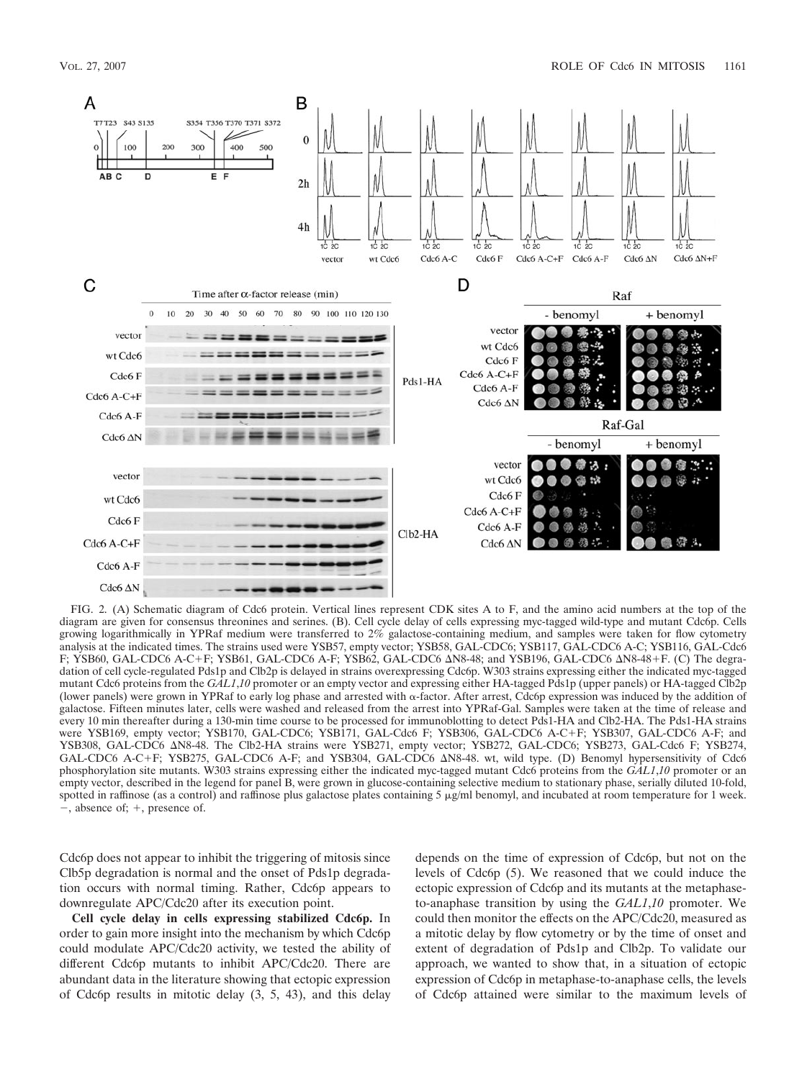

FIG. 2. (A) Schematic diagram of Cdc6 protein. Vertical lines represent CDK sites A to F, and the amino acid numbers at the top of the diagram are given for consensus threonines and serines. (B). Cell cycle delay of cells expressing myc-tagged wild-type and mutant Cdc6p. Cells growing logarithmically in YPRaf medium were transferred to 2% galactose-containing medium, and samples were taken for flow cytometry analysis at the indicated times. The strains used were YSB57, empty vector; YSB58, GAL-CDC6; YSB117, GAL-CDC6 A-C; YSB116, GAL-Cdc6 F; YSB60, GAL-CDC6 A-C+F; YSB61, GAL-CDC6 A-F; YSB62, GAL-CDC6 AN8-48; and YSB196, GAL-CDC6 AN8-48+F. (C) The degradation of cell cycle-regulated Pds1p and Clb2p is delayed in strains overexpressing Cdc6p. W303 strains expressing either the indicated myc-tagged mutant Cdc6 proteins from the *GAL1*,*10* promoter or an empty vector and expressing either HA-tagged Pds1p (upper panels) or HA-tagged Clb2p (lower panels) were grown in YPRaf to early log phase and arrested with  $\alpha$ -factor. After arrest, Cdc6p expression was induced by the addition of galactose. Fifteen minutes later, cells were washed and released from the arrest into YPRaf-Gal. Samples were taken at the time of release and every 10 min thereafter during a 130-min time course to be processed for immunoblotting to detect Pds1-HA and Clb2-HA. The Pds1-HA strains were YSB169, empty vector; YSB170, GAL-CDC6; YSB171, GAL-Cdc6 F; YSB306, GAL-CDC6 A-CF; YSB307, GAL-CDC6 A-F; and YSB308, GAL-CDC6 AN8-48. The Clb2-HA strains were YSB271, empty vector; YSB272, GAL-CDC6; YSB273, GAL-Cdc6 F; YSB274, GAL-CDC6 A-C+F; YSB275, GAL-CDC6 A-F; and YSB304, GAL-CDC6  $\Delta$ N8-48. wt, wild type. (D) Benomyl hypersensitivity of Cdc6 phosphorylation site mutants. W303 strains expressing either the indicated myc-tagged mutant Cdc6 proteins from the *GAL1*,*10* promoter or an empty vector, described in the legend for panel B, were grown in glucose-containing selective medium to stationary phase, serially diluted 10-fold, spotted in raffinose (as a control) and raffinose plus galactose plates containing  $5 \mu g/ml$  benomyl, and incubated at room temperature for 1 week.  $-$ , absence of;  $+$ , presence of.

Cdc6p does not appear to inhibit the triggering of mitosis since Clb5p degradation is normal and the onset of Pds1p degradation occurs with normal timing. Rather, Cdc6p appears to downregulate APC/Cdc20 after its execution point.

**Cell cycle delay in cells expressing stabilized Cdc6p.** In order to gain more insight into the mechanism by which Cdc6p could modulate APC/Cdc20 activity, we tested the ability of different Cdc6p mutants to inhibit APC/Cdc20. There are abundant data in the literature showing that ectopic expression of Cdc6p results in mitotic delay (3, 5, 43), and this delay depends on the time of expression of Cdc6p, but not on the levels of Cdc6p (5). We reasoned that we could induce the ectopic expression of Cdc6p and its mutants at the metaphaseto-anaphase transition by using the *GAL1*,*10* promoter. We could then monitor the effects on the APC/Cdc20, measured as a mitotic delay by flow cytometry or by the time of onset and extent of degradation of Pds1p and Clb2p. To validate our approach, we wanted to show that, in a situation of ectopic expression of Cdc6p in metaphase-to-anaphase cells, the levels of Cdc6p attained were similar to the maximum levels of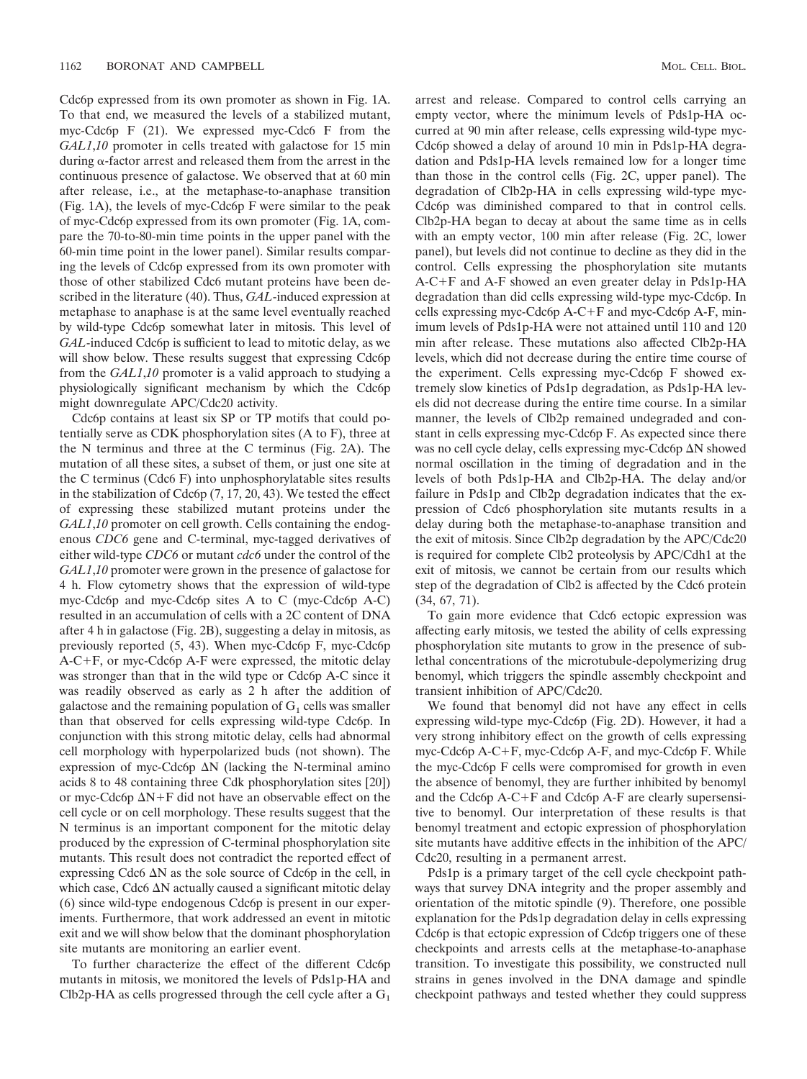Cdc6p expressed from its own promoter as shown in Fig. 1A. To that end, we measured the levels of a stabilized mutant, myc-Cdc6p F (21). We expressed myc-Cdc6 F from the *GAL1*,*10* promoter in cells treated with galactose for 15 min during  $\alpha$ -factor arrest and released them from the arrest in the continuous presence of galactose. We observed that at 60 min after release, i.e., at the metaphase-to-anaphase transition (Fig. 1A), the levels of myc-Cdc6p F were similar to the peak of myc-Cdc6p expressed from its own promoter (Fig. 1A, compare the 70-to-80-min time points in the upper panel with the 60-min time point in the lower panel). Similar results comparing the levels of Cdc6p expressed from its own promoter with those of other stabilized Cdc6 mutant proteins have been described in the literature (40). Thus, *GAL*-induced expression at metaphase to anaphase is at the same level eventually reached by wild-type Cdc6p somewhat later in mitosis. This level of *GAL*-induced Cdc6p is sufficient to lead to mitotic delay, as we will show below. These results suggest that expressing Cdc6p from the *GAL1*,*10* promoter is a valid approach to studying a physiologically significant mechanism by which the Cdc6p might downregulate APC/Cdc20 activity.

Cdc6p contains at least six SP or TP motifs that could potentially serve as CDK phosphorylation sites (A to F), three at the N terminus and three at the C terminus (Fig. 2A). The mutation of all these sites, a subset of them, or just one site at the C terminus (Cdc6 F) into unphosphorylatable sites results in the stabilization of Cdc6p (7, 17, 20, 43). We tested the effect of expressing these stabilized mutant proteins under the *GAL1*,*10* promoter on cell growth. Cells containing the endogenous *CDC6* gene and C-terminal, myc-tagged derivatives of either wild-type *CDC6* or mutant *cdc6* under the control of the *GAL1*,*10* promoter were grown in the presence of galactose for 4 h. Flow cytometry shows that the expression of wild-type myc-Cdc6p and myc-Cdc6p sites A to C (myc-Cdc6p A-C) resulted in an accumulation of cells with a 2C content of DNA after 4 h in galactose (Fig. 2B), suggesting a delay in mitosis, as previously reported (5, 43). When myc-Cdc6p F, myc-Cdc6p  $A-C+F$ , or myc-Cdc6p  $A-F$  were expressed, the mitotic delay was stronger than that in the wild type or Cdc6p A-C since it was readily observed as early as 2 h after the addition of galactose and the remaining population of  $G_1$  cells was smaller than that observed for cells expressing wild-type Cdc6p. In conjunction with this strong mitotic delay, cells had abnormal cell morphology with hyperpolarized buds (not shown). The expression of myc-Cdc6p  $\Delta N$  (lacking the N-terminal amino acids 8 to 48 containing three Cdk phosphorylation sites [20]) or myc-Cdc6p  $\Delta N + F$  did not have an observable effect on the cell cycle or on cell morphology. These results suggest that the N terminus is an important component for the mitotic delay produced by the expression of C-terminal phosphorylation site mutants. This result does not contradict the reported effect of expressing Cdc6  $\Delta N$  as the sole source of Cdc6p in the cell, in which case, Cdc6  $\Delta N$  actually caused a significant mitotic delay (6) since wild-type endogenous Cdc6p is present in our experiments. Furthermore, that work addressed an event in mitotic exit and we will show below that the dominant phosphorylation site mutants are monitoring an earlier event.

To further characterize the effect of the different Cdc6p mutants in mitosis, we monitored the levels of Pds1p-HA and Clb2p-HA as cells progressed through the cell cycle after a  $\mathrm{G}_1$ 

arrest and release. Compared to control cells carrying an empty vector, where the minimum levels of Pds1p-HA occurred at 90 min after release, cells expressing wild-type myc-Cdc6p showed a delay of around 10 min in Pds1p-HA degradation and Pds1p-HA levels remained low for a longer time than those in the control cells (Fig. 2C, upper panel). The degradation of Clb2p-HA in cells expressing wild-type myc-Cdc6p was diminished compared to that in control cells. Clb2p-HA began to decay at about the same time as in cells with an empty vector, 100 min after release (Fig. 2C, lower panel), but levels did not continue to decline as they did in the control. Cells expressing the phosphorylation site mutants A-CF and A-F showed an even greater delay in Pds1p-HA degradation than did cells expressing wild-type myc-Cdc6p. In cells expressing myc-Cdc6p  $A-C+F$  and myc-Cdc6p  $A-F$ , minimum levels of Pds1p-HA were not attained until 110 and 120 min after release. These mutations also affected Clb2p-HA levels, which did not decrease during the entire time course of the experiment. Cells expressing myc-Cdc6p F showed extremely slow kinetics of Pds1p degradation, as Pds1p-HA levels did not decrease during the entire time course. In a similar manner, the levels of Clb2p remained undegraded and constant in cells expressing myc-Cdc6p F. As expected since there was no cell cycle delay, cells expressing myc-Cdc6p  $\Delta N$  showed normal oscillation in the timing of degradation and in the levels of both Pds1p-HA and Clb2p-HA. The delay and/or failure in Pds1p and Clb2p degradation indicates that the expression of Cdc6 phosphorylation site mutants results in a delay during both the metaphase-to-anaphase transition and the exit of mitosis. Since Clb2p degradation by the APC/Cdc20 is required for complete Clb2 proteolysis by APC/Cdh1 at the exit of mitosis, we cannot be certain from our results which step of the degradation of Clb2 is affected by the Cdc6 protein (34, 67, 71).

To gain more evidence that Cdc6 ectopic expression was affecting early mitosis, we tested the ability of cells expressing phosphorylation site mutants to grow in the presence of sublethal concentrations of the microtubule-depolymerizing drug benomyl, which triggers the spindle assembly checkpoint and transient inhibition of APC/Cdc20.

We found that benomyl did not have any effect in cells expressing wild-type myc-Cdc6p (Fig. 2D). However, it had a very strong inhibitory effect on the growth of cells expressing myc-Cdc6p  $A-C+F$ , myc-Cdc6p  $A-F$ , and myc-Cdc6p  $F$ . While the myc-Cdc6p F cells were compromised for growth in even the absence of benomyl, they are further inhibited by benomyl and the Cdc6p  $A-C+F$  and Cdc6p  $A-F$  are clearly supersensitive to benomyl. Our interpretation of these results is that benomyl treatment and ectopic expression of phosphorylation site mutants have additive effects in the inhibition of the APC/ Cdc20, resulting in a permanent arrest.

Pds1p is a primary target of the cell cycle checkpoint pathways that survey DNA integrity and the proper assembly and orientation of the mitotic spindle (9). Therefore, one possible explanation for the Pds1p degradation delay in cells expressing Cdc6p is that ectopic expression of Cdc6p triggers one of these checkpoints and arrests cells at the metaphase-to-anaphase transition. To investigate this possibility, we constructed null strains in genes involved in the DNA damage and spindle checkpoint pathways and tested whether they could suppress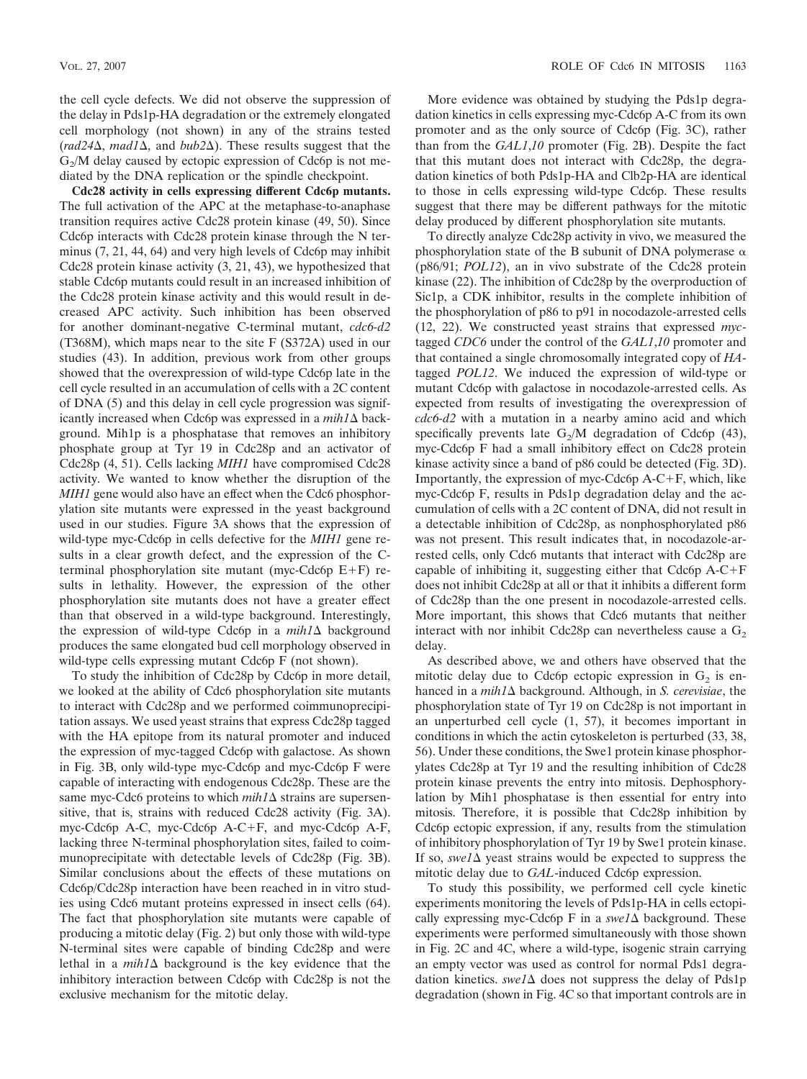the cell cycle defects. We did not observe the suppression of the delay in Pds1p-HA degradation or the extremely elongated cell morphology (not shown) in any of the strains tested ( $rad24\Delta$ ,  $mad1\Delta$ , and  $bub2\Delta$ ). These results suggest that the  $G<sub>2</sub>/M$  delay caused by ectopic expression of Cdc6p is not mediated by the DNA replication or the spindle checkpoint.

**Cdc28 activity in cells expressing different Cdc6p mutants.** The full activation of the APC at the metaphase-to-anaphase transition requires active Cdc28 protein kinase (49, 50). Since Cdc6p interacts with Cdc28 protein kinase through the N terminus (7, 21, 44, 64) and very high levels of Cdc6p may inhibit Cdc28 protein kinase activity (3, 21, 43), we hypothesized that stable Cdc6p mutants could result in an increased inhibition of the Cdc28 protein kinase activity and this would result in decreased APC activity. Such inhibition has been observed for another dominant-negative C-terminal mutant, *cdc6-d2* (T368M), which maps near to the site F (S372A) used in our studies (43). In addition, previous work from other groups showed that the overexpression of wild-type Cdc6p late in the cell cycle resulted in an accumulation of cells with a 2C content of DNA (5) and this delay in cell cycle progression was significantly increased when Cdc6p was expressed in a  $mih1\Delta$  background. Mih1p is a phosphatase that removes an inhibitory phosphate group at Tyr 19 in Cdc28p and an activator of Cdc28p (4, 51). Cells lacking *MIH1* have compromised Cdc28 activity. We wanted to know whether the disruption of the *MIH1* gene would also have an effect when the Cdc6 phosphorylation site mutants were expressed in the yeast background used in our studies. Figure 3A shows that the expression of wild-type myc-Cdc6p in cells defective for the *MIH1* gene results in a clear growth defect, and the expression of the Cterminal phosphorylation site mutant (myc-Cdc6p  $E+F$ ) results in lethality. However, the expression of the other phosphorylation site mutants does not have a greater effect than that observed in a wild-type background. Interestingly, the expression of wild-type Cdc6p in a  $mih1\Delta$  background produces the same elongated bud cell morphology observed in wild-type cells expressing mutant Cdc6p F (not shown).

To study the inhibition of Cdc28p by Cdc6p in more detail, we looked at the ability of Cdc6 phosphorylation site mutants to interact with Cdc28p and we performed coimmunoprecipitation assays. We used yeast strains that express Cdc28p tagged with the HA epitope from its natural promoter and induced the expression of myc-tagged Cdc6p with galactose. As shown in Fig. 3B, only wild-type myc-Cdc6p and myc-Cdc6p F were capable of interacting with endogenous Cdc28p. These are the same myc-Cdc6 proteins to which  $mih1\Delta$  strains are supersensitive, that is, strains with reduced Cdc28 activity (Fig. 3A). myc-Cdc6p A-C, myc-Cdc6p A-C+F, and myc-Cdc6p A-F, lacking three N-terminal phosphorylation sites, failed to coimmunoprecipitate with detectable levels of Cdc28p (Fig. 3B). Similar conclusions about the effects of these mutations on Cdc6p/Cdc28p interaction have been reached in in vitro studies using Cdc6 mutant proteins expressed in insect cells (64). The fact that phosphorylation site mutants were capable of producing a mitotic delay (Fig. 2) but only those with wild-type N-terminal sites were capable of binding Cdc28p and were lethal in a  $mih1\Delta$  background is the key evidence that the inhibitory interaction between Cdc6p with Cdc28p is not the exclusive mechanism for the mitotic delay.

More evidence was obtained by studying the Pds1p degradation kinetics in cells expressing myc-Cdc6p A-C from its own promoter and as the only source of Cdc6p (Fig. 3C), rather than from the *GAL1*,*10* promoter (Fig. 2B). Despite the fact that this mutant does not interact with Cdc28p, the degradation kinetics of both Pds1p-HA and Clb2p-HA are identical to those in cells expressing wild-type Cdc6p. These results suggest that there may be different pathways for the mitotic delay produced by different phosphorylation site mutants.

To directly analyze Cdc28p activity in vivo, we measured the phosphorylation state of the B subunit of DNA polymerase  $\alpha$ (p86/91; *POL12*), an in vivo substrate of the Cdc28 protein kinase (22). The inhibition of Cdc28p by the overproduction of Sic1p, a CDK inhibitor, results in the complete inhibition of the phosphorylation of p86 to p91 in nocodazole-arrested cells (12, 22). We constructed yeast strains that expressed *myc*tagged *CDC6* under the control of the *GAL1*,*10* promoter and that contained a single chromosomally integrated copy of *HA*tagged *POL12*. We induced the expression of wild-type or mutant Cdc6p with galactose in nocodazole-arrested cells. As expected from results of investigating the overexpression of *cdc6-d2* with a mutation in a nearby amino acid and which specifically prevents late  $G_2/M$  degradation of Cdc6p (43), myc-Cdc6p F had a small inhibitory effect on Cdc28 protein kinase activity since a band of p86 could be detected (Fig. 3D). Importantly, the expression of myc-Cdc6p  $A-C+F$ , which, like myc-Cdc6p F, results in Pds1p degradation delay and the accumulation of cells with a 2C content of DNA, did not result in a detectable inhibition of Cdc28p, as nonphosphorylated p86 was not present. This result indicates that, in nocodazole-arrested cells, only Cdc6 mutants that interact with Cdc28p are capable of inhibiting it, suggesting either that  $Cdc6p$  A-C+F does not inhibit Cdc28p at all or that it inhibits a different form of Cdc28p than the one present in nocodazole-arrested cells. More important, this shows that Cdc6 mutants that neither interact with nor inhibit Cdc28p can nevertheless cause a  $G<sub>2</sub>$ delay.

As described above, we and others have observed that the mitotic delay due to Cdc6p ectopic expression in  $G<sub>2</sub>$  is enhanced in a *mih1* $\Delta$  background. Although, in *S. cerevisiae*, the phosphorylation state of Tyr 19 on Cdc28p is not important in an unperturbed cell cycle (1, 57), it becomes important in conditions in which the actin cytoskeleton is perturbed (33, 38, 56). Under these conditions, the Swe1 protein kinase phosphorylates Cdc28p at Tyr 19 and the resulting inhibition of Cdc28 protein kinase prevents the entry into mitosis. Dephosphorylation by Mih1 phosphatase is then essential for entry into mitosis. Therefore, it is possible that Cdc28p inhibition by Cdc6p ectopic expression, if any, results from the stimulation of inhibitory phosphorylation of Tyr 19 by Swe1 protein kinase. If so, *swel* $\Delta$  yeast strains would be expected to suppress the mitotic delay due to *GAL*-induced Cdc6p expression.

To study this possibility, we performed cell cycle kinetic experiments monitoring the levels of Pds1p-HA in cells ectopically expressing myc-Cdc6p F in a  $swel\Delta$  background. These experiments were performed simultaneously with those shown in Fig. 2C and 4C, where a wild-type, isogenic strain carrying an empty vector was used as control for normal Pds1 degradation kinetics.  $swe1\Delta$  does not suppress the delay of Pds1p degradation (shown in Fig. 4C so that important controls are in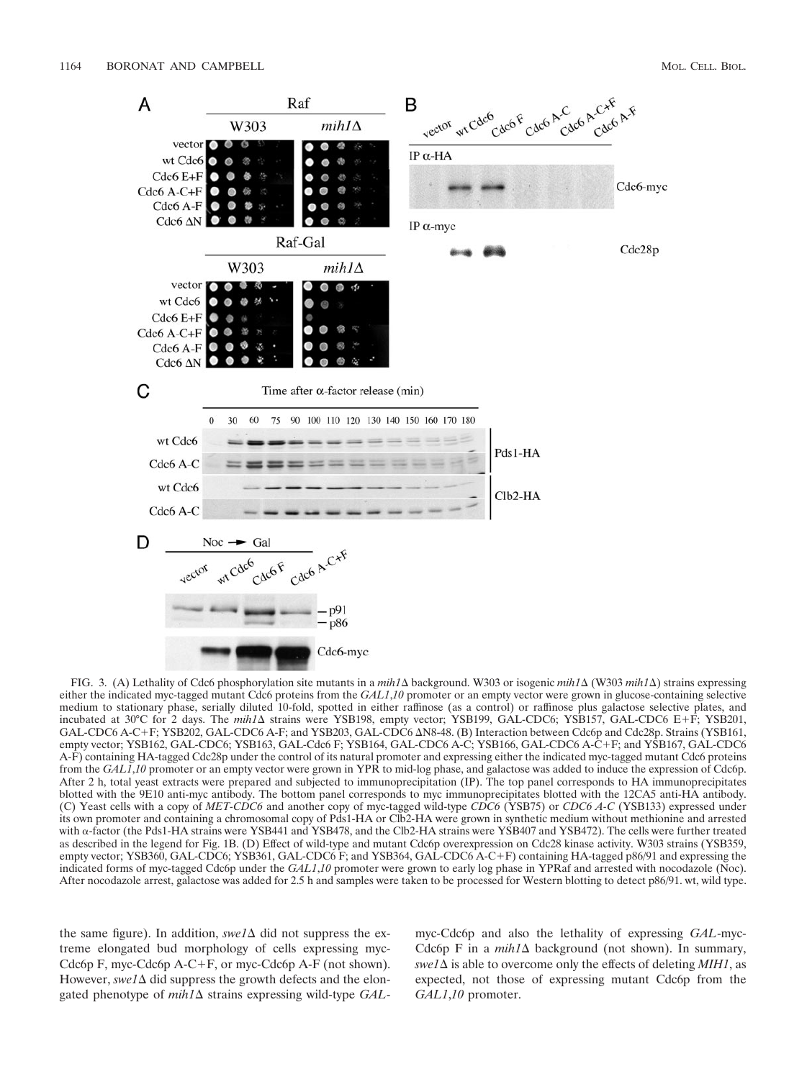

FIG. 3. (A) Lethality of Cdc6 phosphorylation site mutants in a *mih1*∆ background. W303 or isogenic *mih1*∆ (W303 *mih1*∆) strains expressing either the indicated myc-tagged mutant Cdc6 proteins from the *GAL1*,*10* promoter or an empty vector were grown in glucose-containing selective medium to stationary phase, serially diluted 10-fold, spotted in either raffinose (as a control) or raffinose plus galactose selective plates, and incubated at 30°C for 2 days. The *mih1* strains were YSB198, empty vector; YSB199, GAL-CDC6; YSB157, GAL-CDC6 EF; YSB201, GAL-CDC6 A-C+F; YSB202, GAL-CDC6 A-F; and YSB203, GAL-CDC6  $\Delta$ N8-48. (B) Interaction between Cdc6p and Cdc28p. Strains (YSB161, empty vector; YSB162, GAL-CDC6; YSB163, GAL-Cdc6 F; YSB164, GAL-CDC6 A-C; YSB166, GAL-CDC6 A-CF; and YSB167, GAL-CDC6 A-F) containing HA-tagged Cdc28p under the control of its natural promoter and expressing either the indicated myc-tagged mutant Cdc6 proteins from the *GAL1*,*10* promoter or an empty vector were grown in YPR to mid-log phase, and galactose was added to induce the expression of Cdc6p. After 2 h, total yeast extracts were prepared and subjected to immunoprecipitation (IP). The top panel corresponds to HA immunoprecipitates blotted with the 9E10 anti-myc antibody. The bottom panel corresponds to myc immunoprecipitates blotted with the 12CA5 anti-HA antibody. (C) Yeast cells with a copy of *MET-CDC6* and another copy of myc-tagged wild-type *CDC6* (YSB75) or *CDC6 A-C* (YSB133) expressed under its own promoter and containing a chromosomal copy of Pds1-HA or Clb2-HA were grown in synthetic medium without methionine and arrested with α-factor (the Pds1-HA strains were YSB441 and YSB478, and the Clb2-HA strains were YSB407 and YSB472). The cells were further treated as described in the legend for Fig. 1B. (D) Effect of wild-type and mutant Cdc6p overexpression on Cdc28 kinase activity. W303 strains (YSB359, empty vector; YSB360, GAL-CDC6; YSB361, GAL-CDC6 F; and YSB364, GAL-CDC6 A-C+F) containing HA-tagged p86/91 and expressing the indicated forms of myc-tagged Cdc6p under the *GAL1*,*10* promoter were grown to early log phase in YPRaf and arrested with nocodazole (Noc). After nocodazole arrest, galactose was added for 2.5 h and samples were taken to be processed for Western blotting to detect p86/91. wt, wild type.

the same figure). In addition,  $\frac{swe}{\Delta}$  did not suppress the extreme elongated bud morphology of cells expressing myc-Cdc6p F, myc-Cdc6p A-C+F, or myc-Cdc6p A-F (not shown). However,  $\textit{swel}\Delta$  did suppress the growth defects and the elongated phenotype of  $min1\Delta$  strains expressing wild-type *GAL*-

myc-Cdc6p and also the lethality of expressing *GAL*-myc-Cdc6p F in a  $mih1\Delta$  background (not shown). In summary,  $swe1\Delta$  is able to overcome only the effects of deleting *MIH1*, as expected, not those of expressing mutant Cdc6p from the *GAL1*,*10* promoter.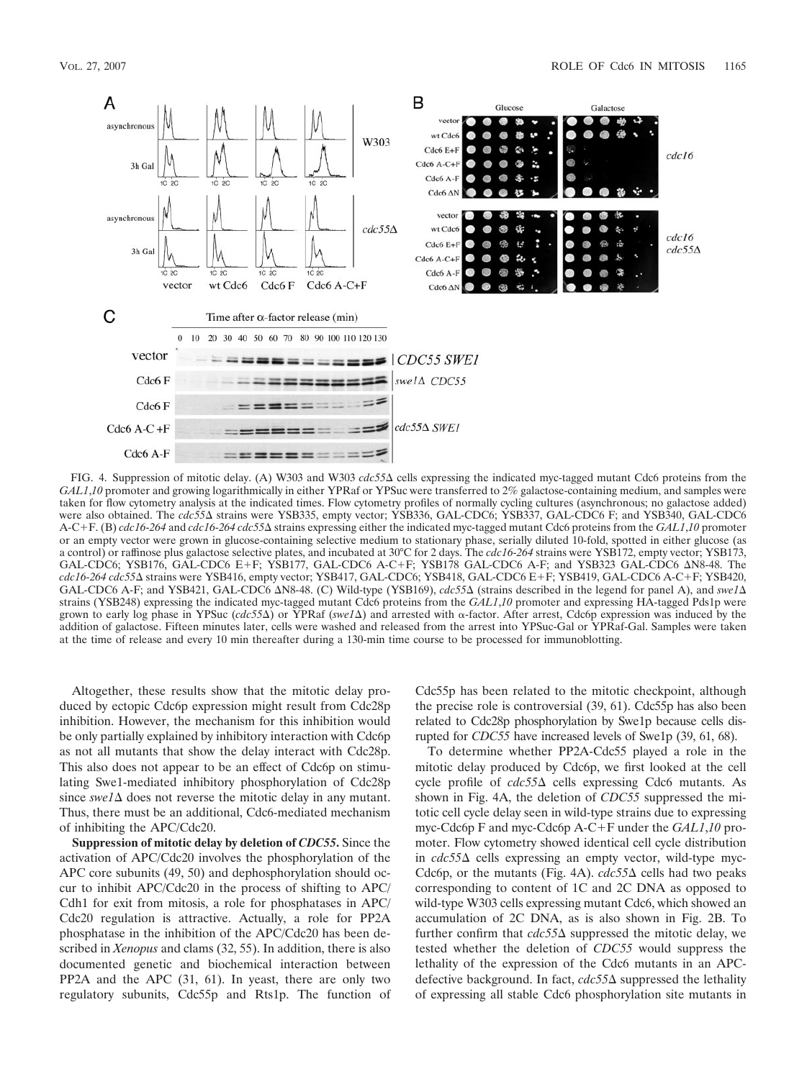

FIG. 4. Suppression of mitotic delay. (A) W303 and W303 *cdc55*  $\Delta$  cells expressing the indicated myc-tagged mutant Cdc6 proteins from the *GAL1*,*10* promoter and growing logarithmically in either YPRaf or YPSuc were transferred to 2% galactose-containing medium, and samples were taken for flow cytometry analysis at the indicated times. Flow cytometry profiles of normally cycling cultures (asynchronous; no galactose added) were also obtained. The *cdc55*<sup> $\Delta$ </sup> strains were YSB335, empty vector; YSB336, GAL-CDC6; YSB337, GAL-CDC6 F; and YSB340, GAL-CDC6 A-CF. (B) *cdc16*-*264* and *cdc16*-*264 cdc55* strains expressing either the indicated myc-tagged mutant Cdc6 proteins from the *GAL1*,*10* promoter or an empty vector were grown in glucose-containing selective medium to stationary phase, serially diluted 10-fold, spotted in either glucose (as a control) or raffinose plus galactose selective plates, and incubated at 30°C for 2 days. The *cdc16*-*264* strains were YSB172, empty vector; YSB173, GAL-CDC6; YSB176, GAL-CDC6 E+F; YSB177, GAL-CDC6 A-C+F; YSB178 GAL-CDC6 A-F; and YSB323 GAL-CDC6 AN8-48. The *cdc16*-*264 cdc55* strains were YSB416, empty vector; YSB417, GAL-CDC6; YSB418, GAL-CDC6 EF; YSB419, GAL-CDC6 A-CF; YSB420, GAL-CDC6 A-F; and YSB421, GAL-CDC6  $\Delta$ N8-48. (C) Wild-type (YSB169), *cdc55* $\Delta$  (strains described in the legend for panel A), and *swe1* $\Delta$ strains (YSB248) expressing the indicated myc-tagged mutant Cdc6 proteins from the *GAL1*,*10* promoter and expressing HA-tagged Pds1p were grown to early log phase in YPSuc (*cdc55*Δ) or YPRaf (*swe1*Δ) and arrested with α-factor. After arrest, Cdc6p expression was induced by the addition of galactose. Fifteen minutes later, cells were washed and released from the arrest into YPSuc-Gal or YPRaf-Gal. Samples were taken at the time of release and every 10 min thereafter during a 130-min time course to be processed for immunoblotting.

Altogether, these results show that the mitotic delay produced by ectopic Cdc6p expression might result from Cdc28p inhibition. However, the mechanism for this inhibition would be only partially explained by inhibitory interaction with Cdc6p as not all mutants that show the delay interact with Cdc28p. This also does not appear to be an effect of Cdc6p on stimulating Swe1-mediated inhibitory phosphorylation of Cdc28p since  $swe1\Delta$  does not reverse the mitotic delay in any mutant. Thus, there must be an additional, Cdc6-mediated mechanism of inhibiting the APC/Cdc20.

**Suppression of mitotic delay by deletion of** *CDC55***.** Since the activation of APC/Cdc20 involves the phosphorylation of the APC core subunits (49, 50) and dephosphorylation should occur to inhibit APC/Cdc20 in the process of shifting to APC/ Cdh1 for exit from mitosis, a role for phosphatases in APC/ Cdc20 regulation is attractive. Actually, a role for PP2A phosphatase in the inhibition of the APC/Cdc20 has been described in *Xenopus* and clams (32, 55). In addition, there is also documented genetic and biochemical interaction between PP2A and the APC (31, 61). In yeast, there are only two regulatory subunits, Cdc55p and Rts1p. The function of Cdc55p has been related to the mitotic checkpoint, although the precise role is controversial (39, 61). Cdc55p has also been related to Cdc28p phosphorylation by Swe1p because cells disrupted for *CDC55* have increased levels of Swe1p (39, 61, 68).

To determine whether PP2A-Cdc55 played a role in the mitotic delay produced by Cdc6p, we first looked at the cell cycle profile of *cdc55* cells expressing Cdc6 mutants. As shown in Fig. 4A, the deletion of *CDC55* suppressed the mitotic cell cycle delay seen in wild-type strains due to expressing myc-Cdc6p F and myc-Cdc6p A-C+F under the *GAL1*,10 promoter. Flow cytometry showed identical cell cycle distribution in  $cdc55\Delta$  cells expressing an empty vector, wild-type myc-Cdc6p, or the mutants (Fig. 4A).  $cdc55\Delta$  cells had two peaks corresponding to content of 1C and 2C DNA as opposed to wild-type W303 cells expressing mutant Cdc6, which showed an accumulation of 2C DNA, as is also shown in Fig. 2B. To further confirm that  $cdc55\Delta$  suppressed the mitotic delay, we tested whether the deletion of *CDC55* would suppress the lethality of the expression of the Cdc6 mutants in an APCdefective background. In fact, *cdc55*∆ suppressed the lethality of expressing all stable Cdc6 phosphorylation site mutants in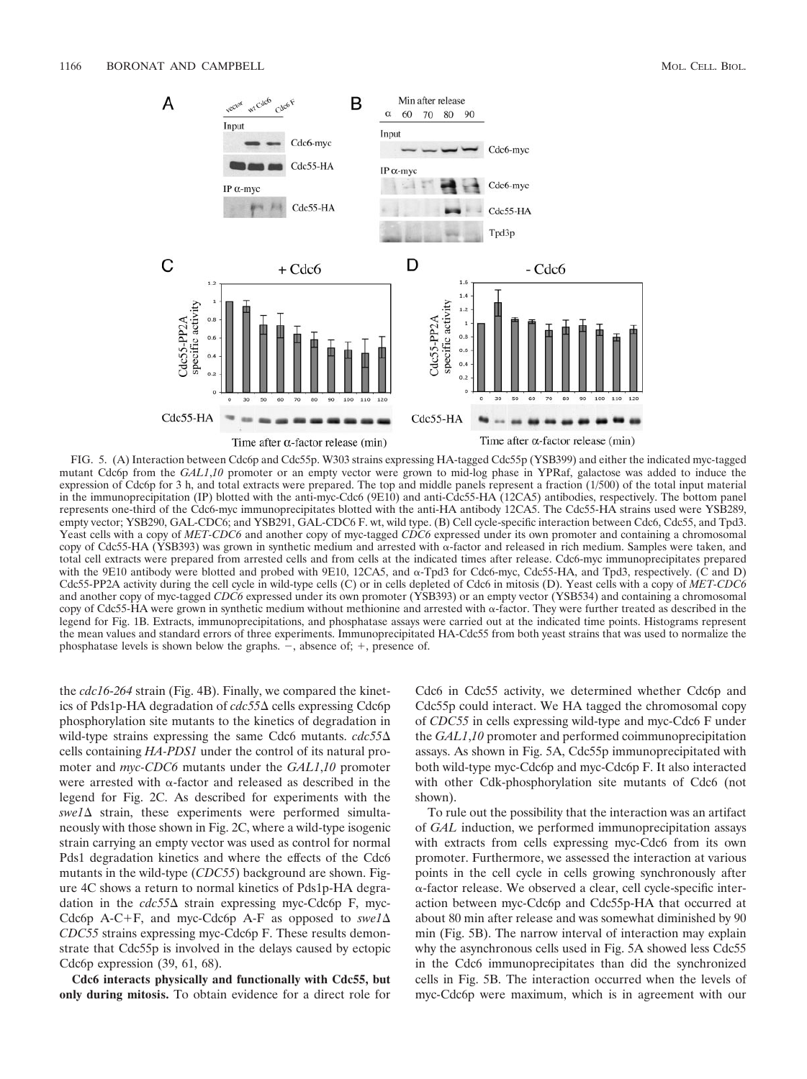

FIG. 5. (A) Interaction between Cdc6p and Cdc55p. W303 strains expressing HA-tagged Cdc55p (YSB399) and either the indicated myc-tagged mutant Cdc6p from the *GAL1*,10 promoter or an empty vector were grown to mid-log phase in YPRaf, galactose was added to induce the expression of Cdc6p for 3 h, and total extracts were prepared. The top and middle panels represent a fraction (1/500) of the total input material in the immunoprecipitation (IP) blotted with the anti-myc-Cdc6 (9E10) and anti-Cdc55-HA (12CA5) antibodies, respectively. The bottom panel represents one-third of the Cdc6-myc immunoprecipitates blotted with the anti-HA antibody 12CA5. The Cdc55-HA strains used were YSB289, empty vector; YSB290, GAL-CDC6; and YSB291, GAL-CDC6 F. wt, wild type. (B) Cell cycle-specific interaction between Cdc6, Cdc55, and Tpd3. Yeast cells with a copy of *MET-CDC6* and another copy of myc-tagged *CDC6* expressed under its own promoter and containing a chromosomal copy of Cdc55-HA (YSB393) was grown in synthetic medium and arrested with  $\alpha$ -factor and released in rich medium. Samples were taken, and total cell extracts were prepared from arrested cells and from cells at the indicated times after release. Cdc6-myc immunoprecipitates prepared with the 9E10 antibody were blotted and probed with 9E10, 12CA5, and  $\alpha$ -Tpd3 for Cdc6-myc, Cdc55-HA, and Tpd3, respectively. (C and D) Cdc55-PP2A activity during the cell cycle in wild-type cells (C) or in cells depleted of Cdc6 in mitosis (D). Yeast cells with a copy of *MET-CDC6* and another copy of myc-tagged *CDC6* expressed under its own promoter (YSB393) or an empty vector (YSB534) and containing a chromosomal copy of Cdc55-HA were grown in synthetic medium without methionine and arrested with  $\alpha$ -factor. They were further treated as described in the legend for Fig. 1B. Extracts, immunoprecipitations, and phosphatase assays were carried out at the indicated time points. Histograms represent the mean values and standard errors of three experiments. Immunoprecipitated HA-Cdc55 from both yeast strains that was used to normalize the phosphatase levels is shown below the graphs.  $-$ , absence of;  $+$ , presence of.

the *cdc16*-*264* strain (Fig. 4B). Finally, we compared the kinetics of Pds1p-HA degradation of *cdc55* cells expressing Cdc6p phosphorylation site mutants to the kinetics of degradation in wild-type strains expressing the same Cdc6 mutants. *cdc55* cells containing *HA-PDS1* under the control of its natural promoter and *myc-CDC6* mutants under the *GAL1*,*10* promoter were arrested with  $\alpha$ -factor and released as described in the legend for Fig. 2C. As described for experiments with the  $swe1\Delta$  strain, these experiments were performed simultaneously with those shown in Fig. 2C, where a wild-type isogenic strain carrying an empty vector was used as control for normal Pds1 degradation kinetics and where the effects of the Cdc6 mutants in the wild-type (*CDC55*) background are shown. Figure 4C shows a return to normal kinetics of Pds1p-HA degradation in the *cdc55* strain expressing myc-Cdc6p F, myc-Cdc6p A-C+F, and myc-Cdc6p A-F as opposed to  $swel\Delta$ *CDC55* strains expressing myc-Cdc6p F. These results demonstrate that Cdc55p is involved in the delays caused by ectopic Cdc6p expression (39, 61, 68).

**Cdc6 interacts physically and functionally with Cdc55, but only during mitosis.** To obtain evidence for a direct role for

Cdc6 in Cdc55 activity, we determined whether Cdc6p and Cdc55p could interact. We HA tagged the chromosomal copy of *CDC55* in cells expressing wild-type and myc-Cdc6 F under the *GAL1*,*10* promoter and performed coimmunoprecipitation assays. As shown in Fig. 5A, Cdc55p immunoprecipitated with both wild-type myc-Cdc6p and myc-Cdc6p F. It also interacted with other Cdk-phosphorylation site mutants of Cdc6 (not shown).

To rule out the possibility that the interaction was an artifact of *GAL* induction, we performed immunoprecipitation assays with extracts from cells expressing myc-Cdc6 from its own promoter. Furthermore, we assessed the interaction at various points in the cell cycle in cells growing synchronously after --factor release. We observed a clear, cell cycle-specific interaction between myc-Cdc6p and Cdc55p-HA that occurred at about 80 min after release and was somewhat diminished by 90 min (Fig. 5B). The narrow interval of interaction may explain why the asynchronous cells used in Fig. 5A showed less Cdc55 in the Cdc6 immunoprecipitates than did the synchronized cells in Fig. 5B. The interaction occurred when the levels of myc-Cdc6p were maximum, which is in agreement with our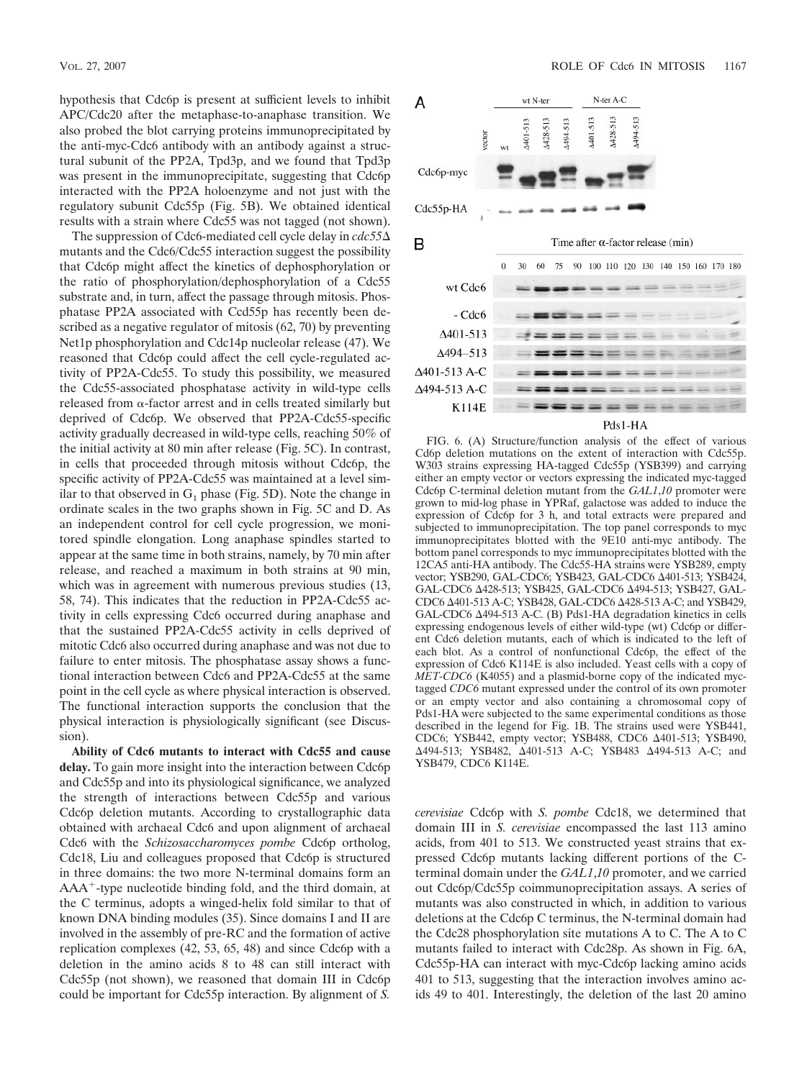hypothesis that Cdc6p is present at sufficient levels to inhibit APC/Cdc20 after the metaphase-to-anaphase transition. We also probed the blot carrying proteins immunoprecipitated by the anti-myc-Cdc6 antibody with an antibody against a structural subunit of the PP2A, Tpd3p, and we found that Tpd3p was present in the immunoprecipitate, suggesting that Cdc6p interacted with the PP2A holoenzyme and not just with the regulatory subunit Cdc55p (Fig. 5B). We obtained identical results with a strain where Cdc55 was not tagged (not shown).

The suppression of Cdc6-mediated cell cycle delay in *cdc55* mutants and the Cdc6/Cdc55 interaction suggest the possibility that Cdc6p might affect the kinetics of dephosphorylation or the ratio of phosphorylation/dephosphorylation of a Cdc55 substrate and, in turn, affect the passage through mitosis. Phosphatase PP2A associated with Ccd55p has recently been described as a negative regulator of mitosis (62, 70) by preventing Net1p phosphorylation and Cdc14p nucleolar release (47). We reasoned that Cdc6p could affect the cell cycle-regulated activity of PP2A-Cdc55. To study this possibility, we measured the Cdc55-associated phosphatase activity in wild-type cells  $release$  from  $\alpha$ -factor arrest and in cells treated similarly but deprived of Cdc6p. We observed that PP2A-Cdc55-specific activity gradually decreased in wild-type cells, reaching 50% of the initial activity at 80 min after release (Fig. 5C). In contrast, in cells that proceeded through mitosis without Cdc6p, the specific activity of PP2A-Cdc55 was maintained at a level similar to that observed in  $G_1$  phase (Fig. 5D). Note the change in ordinate scales in the two graphs shown in Fig. 5C and D. As an independent control for cell cycle progression, we monitored spindle elongation. Long anaphase spindles started to appear at the same time in both strains, namely, by 70 min after release, and reached a maximum in both strains at 90 min, which was in agreement with numerous previous studies (13, 58, 74). This indicates that the reduction in PP2A-Cdc55 activity in cells expressing Cdc6 occurred during anaphase and that the sustained PP2A-Cdc55 activity in cells deprived of mitotic Cdc6 also occurred during anaphase and was not due to failure to enter mitosis. The phosphatase assay shows a functional interaction between Cdc6 and PP2A-Cdc55 at the same point in the cell cycle as where physical interaction is observed. The functional interaction supports the conclusion that the physical interaction is physiologically significant (see Discussion).

**Ability of Cdc6 mutants to interact with Cdc55 and cause delay.** To gain more insight into the interaction between Cdc6p and Cdc55p and into its physiological significance, we analyzed the strength of interactions between Cdc55p and various Cdc6p deletion mutants. According to crystallographic data obtained with archaeal Cdc6 and upon alignment of archaeal Cdc6 with the *Schizosaccharomyces pombe* Cdc6p ortholog, Cdc18, Liu and colleagues proposed that Cdc6p is structured in three domains: the two more N-terminal domains form an AAA<sup>+</sup>-type nucleotide binding fold, and the third domain, at the C terminus, adopts a winged-helix fold similar to that of known DNA binding modules (35). Since domains I and II are involved in the assembly of pre-RC and the formation of active replication complexes (42, 53, 65, 48) and since Cdc6p with a deletion in the amino acids 8 to 48 can still interact with Cdc55p (not shown), we reasoned that domain III in Cdc6p could be important for Cdc55p interaction. By alignment of *S.*



FIG. 6. (A) Structure/function analysis of the effect of various Cd6p deletion mutations on the extent of interaction with Cdc55p. W303 strains expressing HA-tagged Cdc55p (YSB399) and carrying either an empty vector or vectors expressing the indicated myc-tagged Cdc6p C-terminal deletion mutant from the *GAL1*,*10* promoter were grown to mid-log phase in YPRaf, galactose was added to induce the expression of Cdc6p for 3 h, and total extracts were prepared and subjected to immunoprecipitation. The top panel corresponds to myc immunoprecipitates blotted with the 9E10 anti-myc antibody. The bottom panel corresponds to myc immunoprecipitates blotted with the 12CA5 anti-HA antibody. The Cdc55-HA strains were YSB289, empty vector; YSB290, GAL-CDC6; YSB423, GAL-CDC6 401-513; YSB424, GAL-CDC6 428-513; YSB425, GAL-CDC6 494-513; YSB427, GAL-CDC6 401-513 A-C; YSB428, GAL-CDC6 428-513 A-C; and YSB429, GAL-CDC6 494-513 A-C. (B) Pds1-HA degradation kinetics in cells expressing endogenous levels of either wild-type (wt) Cdc6p or different Cdc6 deletion mutants, each of which is indicated to the left of each blot. As a control of nonfunctional Cdc6p, the effect of the expression of Cdc6 K114E is also included. Yeast cells with a copy of *MET-CDC6* (K4055) and a plasmid-borne copy of the indicated myctagged *CDC6* mutant expressed under the control of its own promoter or an empty vector and also containing a chromosomal copy of Pds1-HA were subjected to the same experimental conditions as those described in the legend for Fig. 1B. The strains used were YSB441, CDC6; YSB442, empty vector; YSB488, CDC6 401-513; YSB490, 494-513; YSB482, 401-513 A-C; YSB483 494-513 A-C; and YSB479, CDC6 K114E.

*cerevisiae* Cdc6p with *S. pombe* Cdc18, we determined that domain III in *S. cerevisiae* encompassed the last 113 amino acids, from 401 to 513. We constructed yeast strains that expressed Cdc6p mutants lacking different portions of the Cterminal domain under the *GAL1*,*10* promoter, and we carried out Cdc6p/Cdc55p coimmunoprecipitation assays. A series of mutants was also constructed in which, in addition to various deletions at the Cdc6p C terminus, the N-terminal domain had the Cdc28 phosphorylation site mutations A to C. The A to C mutants failed to interact with Cdc28p. As shown in Fig. 6A, Cdc55p-HA can interact with myc-Cdc6p lacking amino acids 401 to 513, suggesting that the interaction involves amino acids 49 to 401. Interestingly, the deletion of the last 20 amino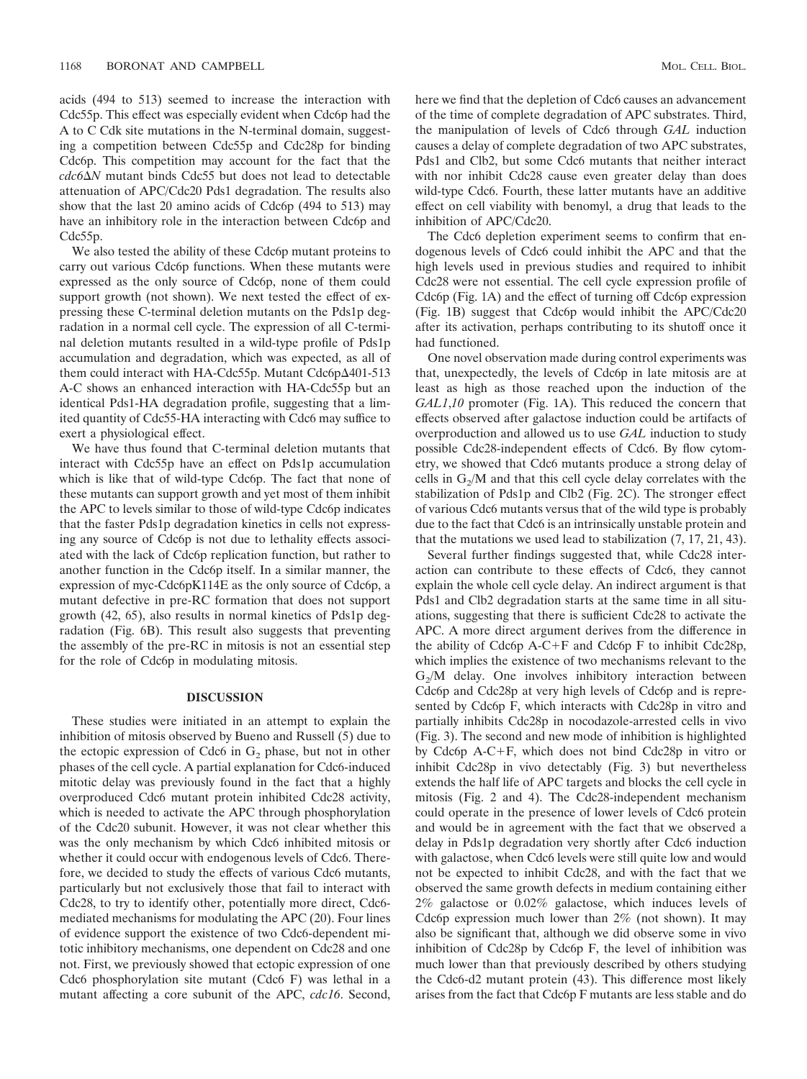acids (494 to 513) seemed to increase the interaction with Cdc55p. This effect was especially evident when Cdc6p had the A to C Cdk site mutations in the N-terminal domain, suggesting a competition between Cdc55p and Cdc28p for binding Cdc6p. This competition may account for the fact that the *cdc6N* mutant binds Cdc55 but does not lead to detectable attenuation of APC/Cdc20 Pds1 degradation. The results also show that the last 20 amino acids of Cdc6p (494 to 513) may have an inhibitory role in the interaction between Cdc6p and Cdc55p.

We also tested the ability of these Cdc6p mutant proteins to carry out various Cdc6p functions. When these mutants were expressed as the only source of Cdc6p, none of them could support growth (not shown). We next tested the effect of expressing these C-terminal deletion mutants on the Pds1p degradation in a normal cell cycle. The expression of all C-terminal deletion mutants resulted in a wild-type profile of Pds1p accumulation and degradation, which was expected, as all of them could interact with HA-Cdc55p. Mutant Cdc6p $\Delta$ 401-513 A-C shows an enhanced interaction with HA-Cdc55p but an identical Pds1-HA degradation profile, suggesting that a limited quantity of Cdc55-HA interacting with Cdc6 may suffice to exert a physiological effect.

We have thus found that C-terminal deletion mutants that interact with Cdc55p have an effect on Pds1p accumulation which is like that of wild-type Cdc6p. The fact that none of these mutants can support growth and yet most of them inhibit the APC to levels similar to those of wild-type Cdc6p indicates that the faster Pds1p degradation kinetics in cells not expressing any source of Cdc6p is not due to lethality effects associated with the lack of Cdc6p replication function, but rather to another function in the Cdc6p itself. In a similar manner, the expression of myc-Cdc6pK114E as the only source of Cdc6p, a mutant defective in pre-RC formation that does not support growth (42, 65), also results in normal kinetics of Pds1p degradation (Fig. 6B). This result also suggests that preventing the assembly of the pre-RC in mitosis is not an essential step for the role of Cdc6p in modulating mitosis.

# **DISCUSSION**

These studies were initiated in an attempt to explain the inhibition of mitosis observed by Bueno and Russell (5) due to the ectopic expression of Cdc6 in  $G_2$  phase, but not in other phases of the cell cycle. A partial explanation for Cdc6-induced mitotic delay was previously found in the fact that a highly overproduced Cdc6 mutant protein inhibited Cdc28 activity, which is needed to activate the APC through phosphorylation of the Cdc20 subunit. However, it was not clear whether this was the only mechanism by which Cdc6 inhibited mitosis or whether it could occur with endogenous levels of Cdc6. Therefore, we decided to study the effects of various Cdc6 mutants, particularly but not exclusively those that fail to interact with Cdc28, to try to identify other, potentially more direct, Cdc6 mediated mechanisms for modulating the APC (20). Four lines of evidence support the existence of two Cdc6-dependent mitotic inhibitory mechanisms, one dependent on Cdc28 and one not. First, we previously showed that ectopic expression of one Cdc6 phosphorylation site mutant (Cdc6 F) was lethal in a mutant affecting a core subunit of the APC, *cdc16*. Second,

here we find that the depletion of Cdc6 causes an advancement of the time of complete degradation of APC substrates. Third, the manipulation of levels of Cdc6 through *GAL* induction causes a delay of complete degradation of two APC substrates, Pds1 and Clb2, but some Cdc6 mutants that neither interact with nor inhibit Cdc28 cause even greater delay than does wild-type Cdc6. Fourth, these latter mutants have an additive effect on cell viability with benomyl, a drug that leads to the inhibition of APC/Cdc20.

The Cdc6 depletion experiment seems to confirm that endogenous levels of Cdc6 could inhibit the APC and that the high levels used in previous studies and required to inhibit Cdc28 were not essential. The cell cycle expression profile of Cdc6p (Fig. 1A) and the effect of turning off Cdc6p expression (Fig. 1B) suggest that Cdc6p would inhibit the APC/Cdc20 after its activation, perhaps contributing to its shutoff once it had functioned.

One novel observation made during control experiments was that, unexpectedly, the levels of Cdc6p in late mitosis are at least as high as those reached upon the induction of the *GAL1*,*10* promoter (Fig. 1A). This reduced the concern that effects observed after galactose induction could be artifacts of overproduction and allowed us to use *GAL* induction to study possible Cdc28-independent effects of Cdc6. By flow cytometry, we showed that Cdc6 mutants produce a strong delay of cells in  $G_2/M$  and that this cell cycle delay correlates with the stabilization of Pds1p and Clb2 (Fig. 2C). The stronger effect of various Cdc6 mutants versus that of the wild type is probably due to the fact that Cdc6 is an intrinsically unstable protein and that the mutations we used lead to stabilization (7, 17, 21, 43).

Several further findings suggested that, while Cdc28 interaction can contribute to these effects of Cdc6, they cannot explain the whole cell cycle delay. An indirect argument is that Pds1 and Clb2 degradation starts at the same time in all situations, suggesting that there is sufficient Cdc28 to activate the APC. A more direct argument derives from the difference in the ability of Cdc6p  $A-C+F$  and Cdc6p F to inhibit Cdc28p, which implies the existence of two mechanisms relevant to the  $G<sub>2</sub>/M$  delay. One involves inhibitory interaction between Cdc6p and Cdc28p at very high levels of Cdc6p and is represented by Cdc6p F, which interacts with Cdc28p in vitro and partially inhibits Cdc28p in nocodazole-arrested cells in vivo (Fig. 3). The second and new mode of inhibition is highlighted by Cdc6p A-CF, which does not bind Cdc28p in vitro or inhibit Cdc28p in vivo detectably (Fig. 3) but nevertheless extends the half life of APC targets and blocks the cell cycle in mitosis (Fig. 2 and 4). The Cdc28-independent mechanism could operate in the presence of lower levels of Cdc6 protein and would be in agreement with the fact that we observed a delay in Pds1p degradation very shortly after Cdc6 induction with galactose, when Cdc6 levels were still quite low and would not be expected to inhibit Cdc28, and with the fact that we observed the same growth defects in medium containing either 2% galactose or 0.02% galactose, which induces levels of Cdc6p expression much lower than 2% (not shown). It may also be significant that, although we did observe some in vivo inhibition of Cdc28p by Cdc6p F, the level of inhibition was much lower than that previously described by others studying the Cdc6-d2 mutant protein (43). This difference most likely arises from the fact that Cdc6p F mutants are less stable and do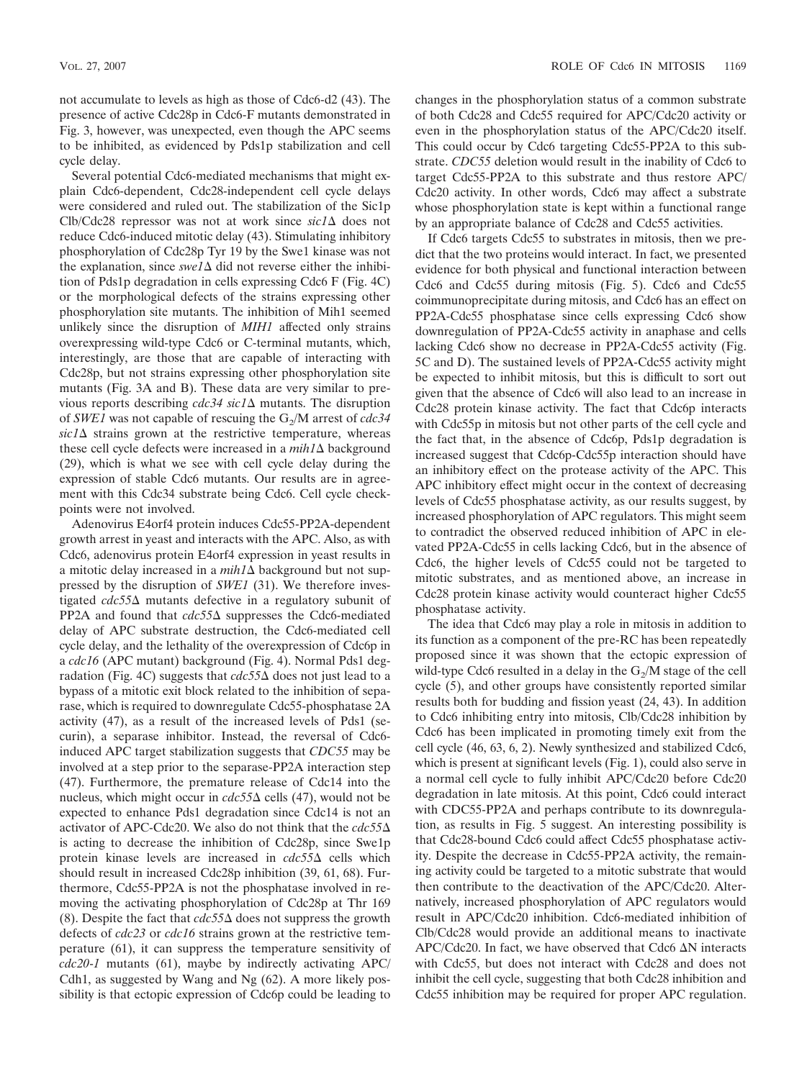not accumulate to levels as high as those of Cdc6-d2 (43). The presence of active Cdc28p in Cdc6-F mutants demonstrated in Fig. 3, however, was unexpected, even though the APC seems to be inhibited, as evidenced by Pds1p stabilization and cell cycle delay.

Several potential Cdc6-mediated mechanisms that might explain Cdc6-dependent, Cdc28-independent cell cycle delays were considered and ruled out. The stabilization of the Sic1p Clb/Cdc28 repressor was not at work since  $sic1\Delta$  does not reduce Cdc6-induced mitotic delay (43). Stimulating inhibitory phosphorylation of Cdc28p Tyr 19 by the Swe1 kinase was not the explanation, since  $\frac{\text{swel}\Delta}{\text{dd}}$  did not reverse either the inhibition of Pds1p degradation in cells expressing Cdc6 F (Fig. 4C) or the morphological defects of the strains expressing other phosphorylation site mutants. The inhibition of Mih1 seemed unlikely since the disruption of *MIH1* affected only strains overexpressing wild-type Cdc6 or C-terminal mutants, which, interestingly, are those that are capable of interacting with Cdc28p, but not strains expressing other phosphorylation site mutants (Fig. 3A and B). These data are very similar to previous reports describing *cdc34 sic1* mutants. The disruption of *SWE1* was not capable of rescuing the  $G_2/M$  arrest of *cdc34*  $sic1\Delta$  strains grown at the restrictive temperature, whereas these cell cycle defects were increased in a  $mih1\Delta$  background (29), which is what we see with cell cycle delay during the expression of stable Cdc6 mutants. Our results are in agreement with this Cdc34 substrate being Cdc6. Cell cycle checkpoints were not involved.

Adenovirus E4orf4 protein induces Cdc55-PP2A-dependent growth arrest in yeast and interacts with the APC. Also, as with Cdc6, adenovirus protein E4orf4 expression in yeast results in a mitotic delay increased in a  $mih1\Delta$  background but not suppressed by the disruption of *SWE1* (31). We therefore investigated *cdc55* mutants defective in a regulatory subunit of PP2A and found that *cdc55*∆ suppresses the Cdc6-mediated delay of APC substrate destruction, the Cdc6-mediated cell cycle delay, and the lethality of the overexpression of Cdc6p in a *cdc16* (APC mutant) background (Fig. 4). Normal Pds1 degradation (Fig. 4C) suggests that  $cdc55\Delta$  does not just lead to a bypass of a mitotic exit block related to the inhibition of separase, which is required to downregulate Cdc55-phosphatase 2A activity (47), as a result of the increased levels of Pds1 (securin), a separase inhibitor. Instead, the reversal of Cdc6 induced APC target stabilization suggests that *CDC55* may be involved at a step prior to the separase-PP2A interaction step (47). Furthermore, the premature release of Cdc14 into the nucleus, which might occur in  $cdc55\Delta$  cells (47), would not be expected to enhance Pds1 degradation since Cdc14 is not an activator of APC-Cdc20. We also do not think that the *cdc55* is acting to decrease the inhibition of Cdc28p, since Swe1p protein kinase levels are increased in  $cdc55\Delta$  cells which should result in increased Cdc28p inhibition (39, 61, 68). Furthermore, Cdc55-PP2A is not the phosphatase involved in removing the activating phosphorylation of Cdc28p at Thr 169 (8). Despite the fact that  $cdc55\Delta$  does not suppress the growth defects of *cdc23* or *cdc16* strains grown at the restrictive temperature (61), it can suppress the temperature sensitivity of *cdc20*-*1* mutants (61), maybe by indirectly activating APC/ Cdh1, as suggested by Wang and Ng (62). A more likely possibility is that ectopic expression of Cdc6p could be leading to

changes in the phosphorylation status of a common substrate of both Cdc28 and Cdc55 required for APC/Cdc20 activity or even in the phosphorylation status of the APC/Cdc20 itself. This could occur by Cdc6 targeting Cdc55-PP2A to this substrate. *CDC55* deletion would result in the inability of Cdc6 to target Cdc55-PP2A to this substrate and thus restore APC/ Cdc20 activity. In other words, Cdc6 may affect a substrate whose phosphorylation state is kept within a functional range by an appropriate balance of Cdc28 and Cdc55 activities.

If Cdc6 targets Cdc55 to substrates in mitosis, then we predict that the two proteins would interact. In fact, we presented evidence for both physical and functional interaction between Cdc6 and Cdc55 during mitosis (Fig. 5). Cdc6 and Cdc55 coimmunoprecipitate during mitosis, and Cdc6 has an effect on PP2A-Cdc55 phosphatase since cells expressing Cdc6 show downregulation of PP2A-Cdc55 activity in anaphase and cells lacking Cdc6 show no decrease in PP2A-Cdc55 activity (Fig. 5C and D). The sustained levels of PP2A-Cdc55 activity might be expected to inhibit mitosis, but this is difficult to sort out given that the absence of Cdc6 will also lead to an increase in Cdc28 protein kinase activity. The fact that Cdc6p interacts with Cdc55p in mitosis but not other parts of the cell cycle and the fact that, in the absence of Cdc6p, Pds1p degradation is increased suggest that Cdc6p-Cdc55p interaction should have an inhibitory effect on the protease activity of the APC. This APC inhibitory effect might occur in the context of decreasing levels of Cdc55 phosphatase activity, as our results suggest, by increased phosphorylation of APC regulators. This might seem to contradict the observed reduced inhibition of APC in elevated PP2A-Cdc55 in cells lacking Cdc6, but in the absence of Cdc6, the higher levels of Cdc55 could not be targeted to mitotic substrates, and as mentioned above, an increase in Cdc28 protein kinase activity would counteract higher Cdc55 phosphatase activity.

The idea that Cdc6 may play a role in mitosis in addition to its function as a component of the pre-RC has been repeatedly proposed since it was shown that the ectopic expression of wild-type Cdc6 resulted in a delay in the  $G_2/M$  stage of the cell cycle (5), and other groups have consistently reported similar results both for budding and fission yeast (24, 43). In addition to Cdc6 inhibiting entry into mitosis, Clb/Cdc28 inhibition by Cdc6 has been implicated in promoting timely exit from the cell cycle (46, 63, 6, 2). Newly synthesized and stabilized Cdc6, which is present at significant levels (Fig. 1), could also serve in a normal cell cycle to fully inhibit APC/Cdc20 before Cdc20 degradation in late mitosis. At this point, Cdc6 could interact with CDC55-PP2A and perhaps contribute to its downregulation, as results in Fig. 5 suggest. An interesting possibility is that Cdc28-bound Cdc6 could affect Cdc55 phosphatase activity. Despite the decrease in Cdc55-PP2A activity, the remaining activity could be targeted to a mitotic substrate that would then contribute to the deactivation of the APC/Cdc20. Alternatively, increased phosphorylation of APC regulators would result in APC/Cdc20 inhibition. Cdc6-mediated inhibition of Clb/Cdc28 would provide an additional means to inactivate APC/Cdc20. In fact, we have observed that Cdc6  $\Delta N$  interacts with Cdc55, but does not interact with Cdc28 and does not inhibit the cell cycle, suggesting that both Cdc28 inhibition and Cdc55 inhibition may be required for proper APC regulation.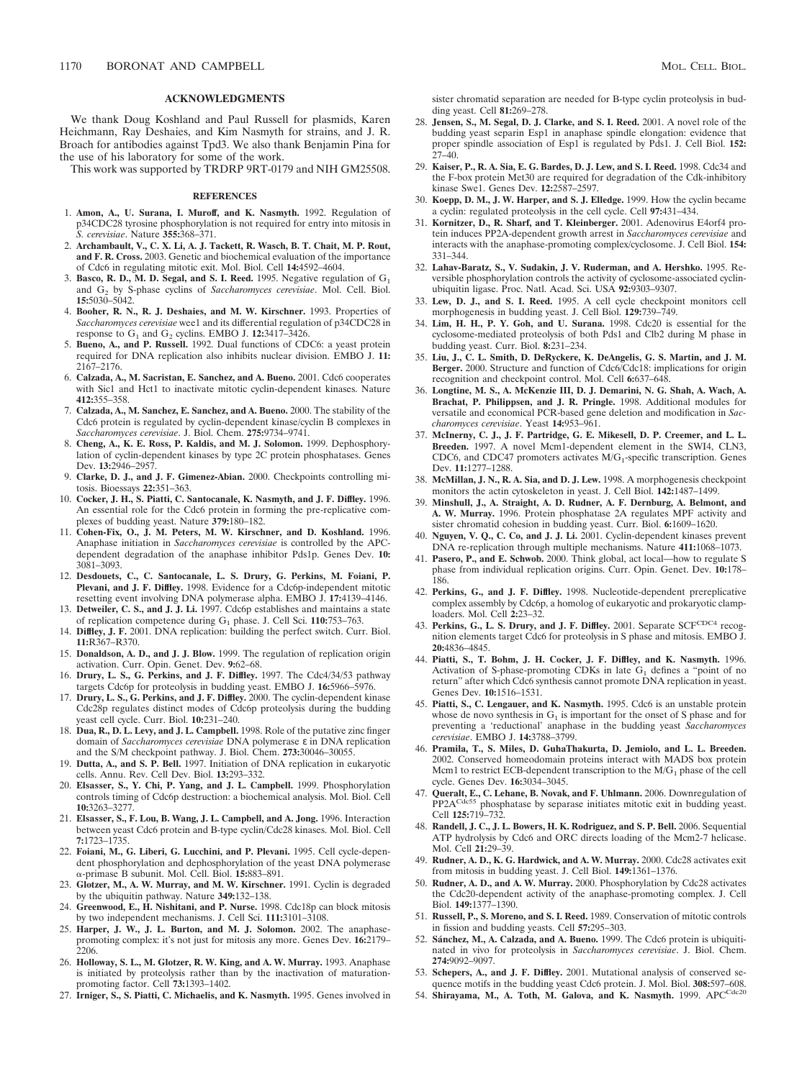### **ACKNOWLEDGMENTS**

We thank Doug Koshland and Paul Russell for plasmids, Karen Heichmann, Ray Deshaies, and Kim Nasmyth for strains, and J. R. Broach for antibodies against Tpd3. We also thank Benjamin Pina for the use of his laboratory for some of the work.

This work was supported by TRDRP 9RT-0179 and NIH GM25508.

#### **REFERENCES**

- 1. **Amon, A., U. Surana, I. Muroff, and K. Nasmyth.** 1992. Regulation of p34CDC28 tyrosine phosphorylation is not required for entry into mitosis in *S. cerevisiae*. Nature **355:**368–371.
- 2. **Archambault, V., C. X. Li, A. J. Tackett, R. Wasch, B. T. Chait, M. P. Rout, and F. R. Cross.** 2003. Genetic and biochemical evaluation of the importance of Cdc6 in regulating mitotic exit. Mol. Biol. Cell **14:**4592–4604.
- 3. Basco, R. D., M. D. Segal, and S. I. Reed. 1995. Negative regulation of G<sub>1</sub> and G2 by S-phase cyclins of *Saccharomyces cerevisiae*. Mol. Cell. Biol. **15:**5030–5042.
- 4. **Booher, R. N., R. J. Deshaies, and M. W. Kirschner.** 1993. Properties of *Saccharomyces cerevisiae* wee1 and its differential regulation of p34CDC28 in response to  $G_1$  and  $G_2$  cyclins. EMBO J. 12:3417–3426.
- 5. **Bueno, A., and P. Russell.** 1992. Dual functions of CDC6: a yeast protein required for DNA replication also inhibits nuclear division. EMBO J. **11:** 2167–2176.
- 6. **Calzada, A., M. Sacristan, E. Sanchez, and A. Bueno.** 2001. Cdc6 cooperates with Sic1 and Hct1 to inactivate mitotic cyclin-dependent kinases. Nature **412:**355–358.
- 7. **Calzada, A., M. Sanchez, E. Sanchez, and A. Bueno.** 2000. The stability of the Cdc6 protein is regulated by cyclin-dependent kinase/cyclin B complexes in *Saccharomyces cerevisiae*. J. Biol. Chem. **275:**9734–9741.
- 8. **Cheng, A., K. E. Ross, P. Kaldis, and M. J. Solomon.** 1999. Dephosphorylation of cyclin-dependent kinases by type 2C protein phosphatases. Genes Dev. **13:**2946–2957.
- 9. **Clarke, D. J., and J. F. Gimenez-Abian.** 2000. Checkpoints controlling mitosis. Bioessays **22:**351–363.
- 10. **Cocker, J. H., S. Piatti, C. Santocanale, K. Nasmyth, and J. F. Diffley.** 1996. An essential role for the Cdc6 protein in forming the pre-replicative complexes of budding yeast. Nature **379:**180–182.
- 11. **Cohen-Fix, O., J. M. Peters, M. W. Kirschner, and D. Koshland.** 1996. Anaphase initiation in *Saccharomyces cerevisiae* is controlled by the APCdependent degradation of the anaphase inhibitor Pds1p. Genes Dev. **10:** 3081–3093.
- 12. **Desdouets, C., C. Santocanale, L. S. Drury, G. Perkins, M. Foiani, P. Plevani, and J. F. Diffley.** 1998. Evidence for a Cdc6p-independent mitotic resetting event involving DNA polymerase alpha. EMBO J. **17:**4139–4146.
- 13. **Detweiler, C. S., and J. J. Li.** 1997. Cdc6p establishes and maintains a state of replication competence during G1 phase. J. Cell Sci. **110:**753–763.
- 14. **Diffley, J. F.** 2001. DNA replication: building the perfect switch. Curr. Biol. **11:**R367–R370.
- 15. **Donaldson, A. D., and J. J. Blow.** 1999. The regulation of replication origin activation. Curr. Opin. Genet. Dev. **9:**62–68.
- 16. **Drury, L. S., G. Perkins, and J. F. Diffley.** 1997. The Cdc4/34/53 pathway targets Cdc6p for proteolysis in budding yeast. EMBO J. **16:**5966–5976.
- 17. **Drury, L. S., G. Perkins, and J. F. Diffley.** 2000. The cyclin-dependent kinase Cdc28p regulates distinct modes of Cdc6p proteolysis during the budding yeast cell cycle. Curr. Biol. **10:**231–240.
- 18. **Dua, R., D. L. Levy, and J. L. Campbell.** 1998. Role of the putative zinc finger domain of *Saccharomyces cerevisiae* DNA polymerase ε in DNA replication and the S/M checkpoint pathway. J. Biol. Chem. **273:**30046–30055.
- 19. **Dutta, A., and S. P. Bell.** 1997. Initiation of DNA replication in eukaryotic cells. Annu. Rev. Cell Dev. Biol. **13:**293–332.
- 20. **Elsasser, S., Y. Chi, P. Yang, and J. L. Campbell.** 1999. Phosphorylation controls timing of Cdc6p destruction: a biochemical analysis. Mol. Biol. Cell **10:**3263–3277.
- 21. **Elsasser, S., F. Lou, B. Wang, J. L. Campbell, and A. Jong.** 1996. Interaction between yeast Cdc6 protein and B-type cyclin/Cdc28 kinases. Mol. Biol. Cell **7:**1723–1735.
- 22. **Foiani, M., G. Liberi, G. Lucchini, and P. Plevani.** 1995. Cell cycle-dependent phosphorylation and dephosphorylation of the yeast DNA polymerase --primase B subunit. Mol. Cell. Biol. **15:**883–891.
- 23. **Glotzer, M., A. W. Murray, and M. W. Kirschner.** 1991. Cyclin is degraded by the ubiquitin pathway. Nature **349:**132–138.
- 24. **Greenwood, E., H. Nishitani, and P. Nurse.** 1998. Cdc18p can block mitosis by two independent mechanisms. J. Cell Sci. **111:**3101–3108.
- 25. **Harper, J. W., J. L. Burton, and M. J. Solomon.** 2002. The anaphasepromoting complex: it's not just for mitosis any more. Genes Dev. **16:**2179– 2206.
- 26. **Holloway, S. L., M. Glotzer, R. W. King, and A. W. Murray.** 1993. Anaphase is initiated by proteolysis rather than by the inactivation of maturationpromoting factor. Cell **73:**1393–1402.
- 27. **Irniger, S., S. Piatti, C. Michaelis, and K. Nasmyth.** 1995. Genes involved in

sister chromatid separation are needed for B-type cyclin proteolysis in budding yeast. Cell **81:**269–278.

- 28. **Jensen, S., M. Segal, D. J. Clarke, and S. I. Reed.** 2001. A novel role of the budding yeast separin Esp1 in anaphase spindle elongation: evidence that proper spindle association of Esp1 is regulated by Pds1. J. Cell Biol. **152:** 27–40.
- 29. **Kaiser, P., R. A. Sia, E. G. Bardes, D. J. Lew, and S. I. Reed.** 1998. Cdc34 and the F-box protein Met30 are required for degradation of the Cdk-inhibitory kinase Swe1. Genes Dev. **12:**2587–2597.
- 30. **Koepp, D. M., J. W. Harper, and S. J. Elledge.** 1999. How the cyclin became a cyclin: regulated proteolysis in the cell cycle. Cell **97:**431–434.
- 31. **Kornitzer, D., R. Sharf, and T. Kleinberger.** 2001. Adenovirus E4orf4 protein induces PP2A-dependent growth arrest in *Saccharomyces cerevisiae* and interacts with the anaphase-promoting complex/cyclosome. J. Cell Biol. **154:** 331–344.
- 32. **Lahav-Baratz, S., V. Sudakin, J. V. Ruderman, and A. Hershko.** 1995. Reversible phosphorylation controls the activity of cyclosome-associated cyclinubiquitin ligase. Proc. Natl. Acad. Sci. USA **92:**9303–9307.
- 33. **Lew, D. J., and S. I. Reed.** 1995. A cell cycle checkpoint monitors cell morphogenesis in budding yeast. J. Cell Biol. **129:**739–749.
- 34. **Lim, H. H., P. Y. Goh, and U. Surana.** 1998. Cdc20 is essential for the cyclosome-mediated proteolysis of both Pds1 and Clb2 during M phase in budding yeast. Curr. Biol. **8:**231–234.
- 35. **Liu, J., C. L. Smith, D. DeRyckere, K. DeAngelis, G. S. Martin, and J. M. Berger.** 2000. Structure and function of Cdc6/Cdc18: implications for origin recognition and checkpoint control. Mol. Cell **6:**637–648.
- 36. **Longtine, M. S., A. McKenzie III, D. J. Demarini, N. G. Shah, A. Wach, A. Brachat, P. Philippsen, and J. R. Pringle.** 1998. Additional modules for versatile and economical PCR-based gene deletion and modification in *Saccharomyces cerevisiae*. Yeast **14:**953–961.
- 37. **McInerny, C. J., J. F. Partridge, G. E. Mikesell, D. P. Creemer, and L. L. Breeden.** 1997. A novel Mcm1-dependent element in the SWI4, CLN3, CDC6, and CDC47 promoters activates  $M/G_1$ -specific transcription. Genes Dev. **11:**1277–1288.
- 38. **McMillan, J. N., R. A. Sia, and D. J. Lew.** 1998. A morphogenesis checkpoint monitors the actin cytoskeleton in yeast. J. Cell Biol. **142:**1487–1499.
- 39. **Minshull, J., A. Straight, A. D. Rudner, A. F. Dernburg, A. Belmont, and A. W. Murray.** 1996. Protein phosphatase 2A regulates MPF activity and sister chromatid cohesion in budding yeast. Curr. Biol. **6:**1609–1620.
- 40. **Nguyen, V. Q., C. Co, and J. J. Li.** 2001. Cyclin-dependent kinases prevent DNA re-replication through multiple mechanisms. Nature **411:**1068–1073.
- 41. **Pasero, P., and E. Schwob.** 2000. Think global, act local—how to regulate S phase from individual replication origins. Curr. Opin. Genet. Dev. **10:**178– 186.
- 42. **Perkins, G., and J. F. Diffley.** 1998. Nucleotide-dependent prereplicative complex assembly by Cdc6p, a homolog of eukaryotic and prokaryotic clamploaders. Mol. Cell **2:**23–32.
- 43. Perkins, G., L. S. Drury, and J. F. Diffley. 2001. Separate SCFCDC4 recognition elements target Cdc6 for proteolysis in S phase and mitosis. EMBO J. **20:**4836–4845.
- 44. **Piatti, S., T. Bohm, J. H. Cocker, J. F. Diffley, and K. Nasmyth.** 1996. Activation of S-phase-promoting CDKs in late  $G_1$  defines a "point of no<br>return" after which Cdc6 synthesis cannot promote DNA replication in yeast. Genes Dev. **10:**1516–1531.
- 45. **Piatti, S., C. Lengauer, and K. Nasmyth.** 1995. Cdc6 is an unstable protein whose de novo synthesis in  $G_1$  is important for the onset of S phase and for preventing a 'reductional' anaphase in the budding yeast *Saccharomyces cerevisiae*. EMBO J. **14:**3788–3799.
- 46. **Pramila, T., S. Miles, D. GuhaThakurta, D. Jemiolo, and L. L. Breeden.** 2002. Conserved homeodomain proteins interact with MADS box protein Mcm1 to restrict ECB-dependent transcription to the  $M/G_1$  phase of the cell cycle. Genes Dev. **16:**3034–3045.
- 47. **Queralt, E., C. Lehane, B. Novak, and F. Uhlmann.** 2006. Downregulation of PP2A<sup>Cdc55</sup> phosphatase by separase initiates mitotic exit in budding yeast. Cell **125:**719–732.
- 48. **Randell, J. C., J. L. Bowers, H. K. Rodriguez, and S. P. Bell.** 2006. Sequential ATP hydrolysis by Cdc6 and ORC directs loading of the Mcm2-7 helicase. Mol. Cell **21:**29–39.
- 49. **Rudner, A. D., K. G. Hardwick, and A. W. Murray.** 2000. Cdc28 activates exit from mitosis in budding yeast. J. Cell Biol. **149:**1361–1376.
- 50. **Rudner, A. D., and A. W. Murray.** 2000. Phosphorylation by Cdc28 activates the Cdc20-dependent activity of the anaphase-promoting complex. J. Cell Biol. **149:**1377–1390.
- 51. **Russell, P., S. Moreno, and S. I. Reed.** 1989. Conservation of mitotic controls in fission and budding yeasts. Cell **57:**295–303.
- 52. **Sa´nchez, M., A. Calzada, and A. Bueno.** 1999. The Cdc6 protein is ubiquitinated in vivo for proteolysis in *Saccharomyces cerevisiae*. J. Biol. Chem. **274:**9092–9097.
- 53. **Schepers, A., and J. F. Diffley.** 2001. Mutational analysis of conserved sequence motifs in the budding yeast Cdc6 protein. J. Mol. Biol. **308:**597–608.
- 54. Shirayama, M., A. Toth, M. Galova, and K. Nasmyth. 1999. APCCdc<sup>20</sup>